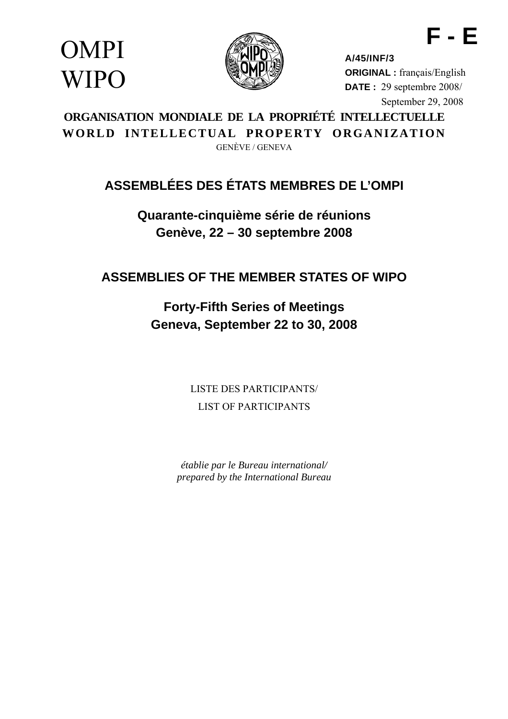OMPI **WIPO** 



**A/45/INF/3 ORIGINAL :** français/English **DATE :** 29 septembre 2008/ September 29, 2008

**F - E** 

**ORGANISATION MONDIALE DE LA PROPRIÉTÉ INTELLECTUELLE WORLD INTELLECTUAL PROPERTY ORGANIZATION**  GENÈVE / GENEVA

# **ASSEMBLÉES DES ÉTATS MEMBRES DE L'OMPI**

**Quarante-cinquième série de réunions Genève, 22 – 30 septembre 2008** 

**ASSEMBLIES OF THE MEMBER STATES OF WIPO** 

**Forty-Fifth Series of Meetings Geneva, September 22 to 30, 2008** 

> LISTE DES PARTICIPANTS/ LIST OF PARTICIPANTS

*établie par le Bureau international/ prepared by the International Bureau*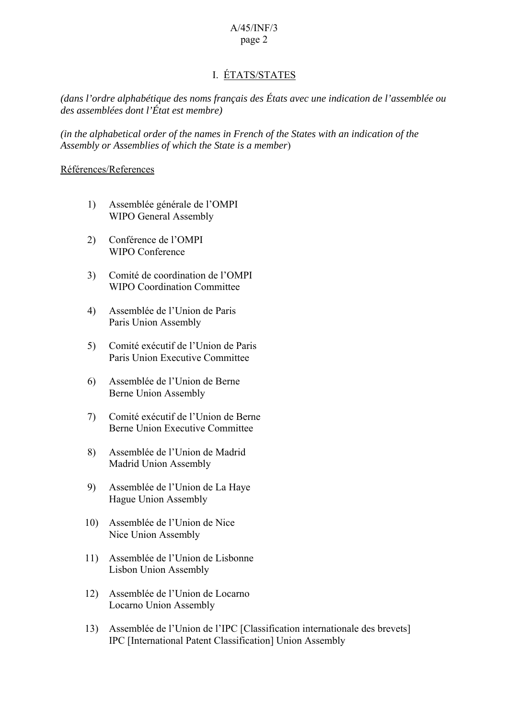## I. ÉTATS/STATES

*(dans l'ordre alphabétique des noms français des États avec une indication de l'assemblée ou des assemblées dont l'État est membre)* 

*(in the alphabetical order of the names in French of the States with an indication of the Assembly or Assemblies of which the State is a member*)

### Références/References

- 1) Assemblée générale de l'OMPI WIPO General Assembly
- 2) Conférence de l'OMPI WIPO Conference
- 3) Comité de coordination de l'OMPI WIPO Coordination Committee
- 4) Assemblée de l'Union de Paris Paris Union Assembly
- 5) Comité exécutif de l'Union de Paris Paris Union Executive Committee
- 6) Assemblée de l'Union de Berne Berne Union Assembly
- 7) Comité exécutif de l'Union de Berne Berne Union Executive Committee
- 8) Assemblée de l'Union de Madrid Madrid Union Assembly
- 9) Assemblée de l'Union de La Haye Hague Union Assembly
- 10) Assemblée de l'Union de Nice Nice Union Assembly
- 11) Assemblée de l'Union de Lisbonne Lisbon Union Assembly
- 12) Assemblée de l'Union de Locarno Locarno Union Assembly
- 13) Assemblée de l'Union de l'IPC [Classification internationale des brevets] IPC [International Patent Classification] Union Assembly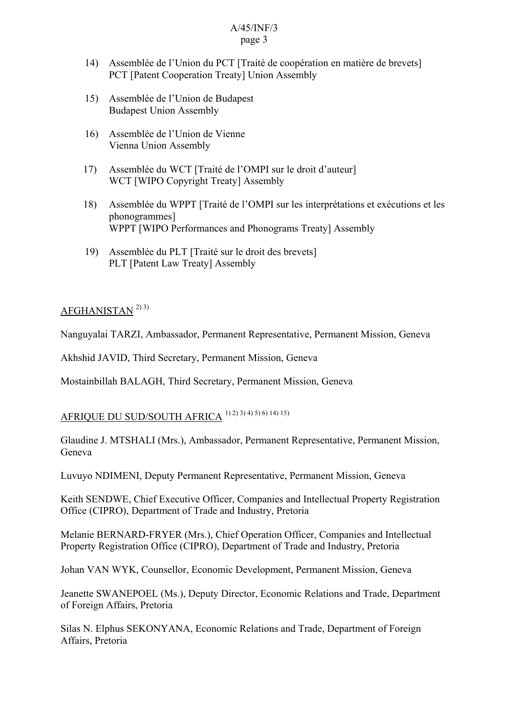- 14) Assemblée de l'Union du PCT [Traité de coopération en matière de brevets] PCT [Patent Cooperation Treaty] Union Assembly
- 15) Assemblée de l'Union de Budapest Budapest Union Assembly
- 16) Assemblée de l'Union de Vienne Vienna Union Assembly
- 17) Assemblée du WCT [Traité de l'OMPI sur le droit d'auteur] WCT [WIPO Copyright Treaty] Assembly
- 18) Assemblée du WPPT [Traité de l'OMPI sur les interprétations et exécutions et les phonogrammes] WPPT [WIPO Performances and Phonograms Treaty] Assembly
- 19) Assemblée du PLT [Traité sur le droit des brevets] PLT [Patent Law Treaty] Assembly

## $AFGHANISTAN<sup>2</sup>3$

Nanguyalai TARZI, Ambassador, Permanent Representative, Permanent Mission, Geneva

Akhshid JAVID, Third Secretary, Permanent Mission, Geneva

Mostainbillah BALAGH, Third Secretary, Permanent Mission, Geneva

## AFRIQUE DU SUD/SOUTH AFRICA 1) 2) 3) 4) 5) 6) 14) 15)

Glaudine J. MTSHALI (Mrs.), Ambassador, Permanent Representative, Permanent Mission, Geneva

Luvuyo NDIMENI, Deputy Permanent Representative, Permanent Mission, Geneva

Keith SENDWE, Chief Executive Officer, Companies and Intellectual Property Registration Office (CIPRO), Department of Trade and Industry, Pretoria

Melanie BERNARD-FRYER (Mrs.), Chief Operation Officer, Companies and Intellectual Property Registration Office (CIPRO), Department of Trade and Industry, Pretoria

Johan VAN WYK, Counsellor, Economic Development, Permanent Mission, Geneva

Jeanette SWANEPOEL (Ms.), Deputy Director, Economic Relations and Trade, Department of Foreign Affairs, Pretoria

Silas N. Elphus SEKONYANA, Economic Relations and Trade, Department of Foreign Affairs, Pretoria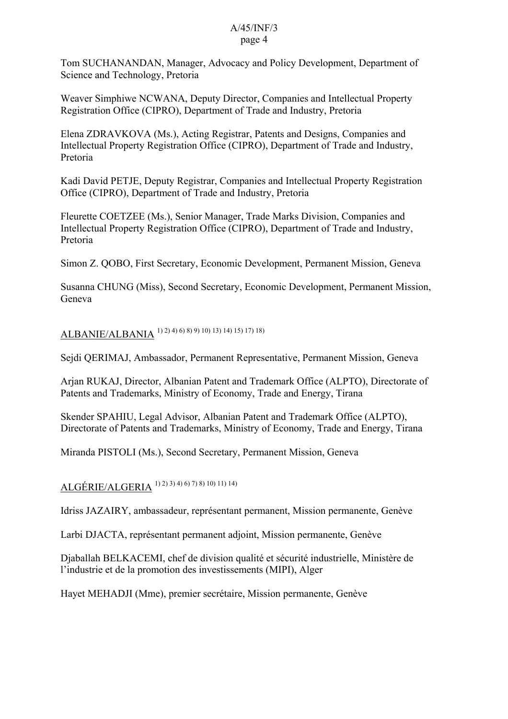Tom SUCHANANDAN, Manager, Advocacy and Policy Development, Department of Science and Technology, Pretoria

Weaver Simphiwe NCWANA, Deputy Director, Companies and Intellectual Property Registration Office (CIPRO), Department of Trade and Industry, Pretoria

Elena ZDRAVKOVA (Ms.), Acting Registrar, Patents and Designs, Companies and Intellectual Property Registration Office (CIPRO), Department of Trade and Industry, Pretoria

Kadi David PETJE, Deputy Registrar, Companies and Intellectual Property Registration Office (CIPRO), Department of Trade and Industry, Pretoria

Fleurette COETZEE (Ms.), Senior Manager, Trade Marks Division, Companies and Intellectual Property Registration Office (CIPRO), Department of Trade and Industry, Pretoria

Simon Z. QOBO, First Secretary, Economic Development, Permanent Mission, Geneva

Susanna CHUNG (Miss), Second Secretary, Economic Development, Permanent Mission, Geneva

ALBANIE/ALBANIA 1) 2) 4) 6) 8) 9) 10) 13) 14) 15) 17) 18)

Sejdi QERIMAJ, Ambassador, Permanent Representative, Permanent Mission, Geneva

Arjan RUKAJ, Director, Albanian Patent and Trademark Office (ALPTO), Directorate of Patents and Trademarks, Ministry of Economy, Trade and Energy, Tirana

Skender SPAHIU, Legal Advisor, Albanian Patent and Trademark Office (ALPTO), Directorate of Patents and Trademarks, Ministry of Economy, Trade and Energy, Tirana

Miranda PISTOLI (Ms.), Second Secretary, Permanent Mission, Geneva

ALGÉRIE/ALGERIA 1) 2) 3) 4) 6) 7) 8) 10) 11) 14)

Idriss JAZAIRY, ambassadeur, représentant permanent, Mission permanente, Genève

Larbi DJACTA, représentant permanent adjoint, Mission permanente, Genève

Djaballah BELKACEMI, chef de division qualité et sécurité industrielle, Ministère de l'industrie et de la promotion des investissements (MIPI), Alger

Hayet MEHADJI (Mme), premier secrétaire, Mission permanente, Genève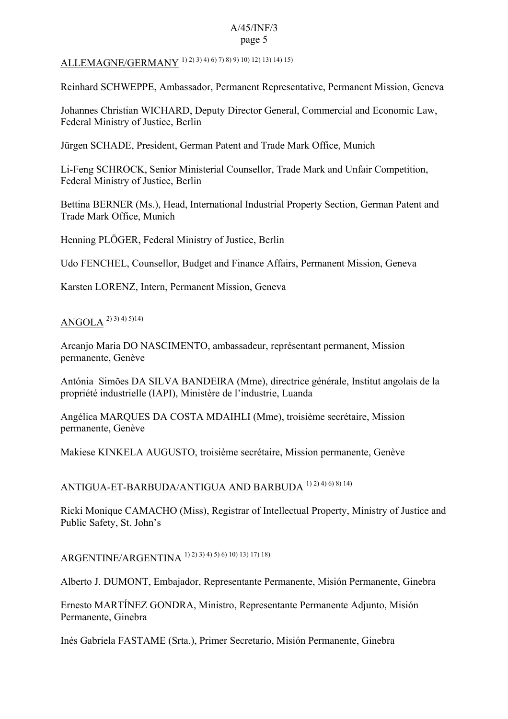# ALLEMAGNE/GERMANY 1) 2) 3) 4) 6) 7) 8) 9) 10) 12) 13) 14) 15)

Reinhard SCHWEPPE, Ambassador, Permanent Representative, Permanent Mission, Geneva

Johannes Christian WICHARD, Deputy Director General, Commercial and Economic Law, Federal Ministry of Justice, Berlin

Jürgen SCHADE, President, German Patent and Trade Mark Office, Munich

Li-Feng SCHROCK, Senior Ministerial Counsellor, Trade Mark and Unfair Competition, Federal Ministry of Justice, Berlin

Bettina BERNER (Ms.), Head, International Industrial Property Section, German Patent and Trade Mark Office, Munich

Henning PLÖGER, Federal Ministry of Justice, Berlin

Udo FENCHEL, Counsellor, Budget and Finance Affairs, Permanent Mission, Geneva

Karsten LORENZ, Intern, Permanent Mission, Geneva

## ANGOLA 2) 3) 4) 5)14)

Arcanjo Maria DO NASCIMENTO, ambassadeur, représentant permanent, Mission permanente, Genève

Antónia Simões DA SILVA BANDEIRA (Mme), directrice générale, Institut angolais de la propriété industrielle (IAPI), Ministère de l'industrie, Luanda

Angélica MARQUES DA COSTA MDAIHLI (Mme), troisième secrétaire, Mission permanente, Genève

Makiese KINKELA AUGUSTO, troisième secrétaire, Mission permanente, Genève

## ANTIGUA-ET-BARBUDA/ANTIGUA AND BARBUDA 1) 2) 4) 6) 8) 14)

Ricki Monique CAMACHO (Miss), Registrar of Intellectual Property, Ministry of Justice and Public Safety, St. John's

## ARGENTINE/ARGENTINA 1) 2) 3) 4) 5) 6) 10) 13) 17) 18)

Alberto J. DUMONT, Embajador, Representante Permanente, Misión Permanente, Ginebra

Ernesto MARTÍNEZ GONDRA, Ministro, Representante Permanente Adjunto, Misión Permanente, Ginebra

Inés Gabriela FASTAME (Srta.), Primer Secretario, Misión Permanente, Ginebra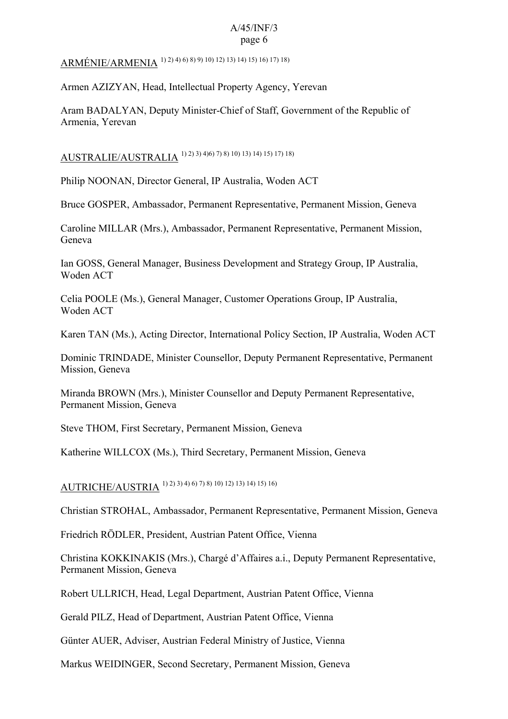ARMÉNIE/ARMENIA 1) 2) 4) 6) 8) 9) 10) 12) 13) 14) 15) 16) 17) 18)

Armen AZIZYAN, Head, Intellectual Property Agency, Yerevan

Aram BADALYAN, Deputy Minister-Chief of Staff, Government of the Republic of Armenia, Yerevan

AUSTRALIE/AUSTRALIA 1) 2) 3) 4)6) 7) 8) 10) 13) 14) 15) 17) 18)

Philip NOONAN, Director General, IP Australia, Woden ACT

Bruce GOSPER, Ambassador, Permanent Representative, Permanent Mission, Geneva

Caroline MILLAR (Mrs.), Ambassador, Permanent Representative, Permanent Mission, Geneva

Ian GOSS, General Manager, Business Development and Strategy Group, IP Australia, Woden ACT

Celia POOLE (Ms.), General Manager, Customer Operations Group, IP Australia, Woden ACT

Karen TAN (Ms.), Acting Director, International Policy Section, IP Australia, Woden ACT

Dominic TRINDADE, Minister Counsellor, Deputy Permanent Representative, Permanent Mission, Geneva

Miranda BROWN (Mrs.), Minister Counsellor and Deputy Permanent Representative, Permanent Mission, Geneva

Steve THOM, First Secretary, Permanent Mission, Geneva

Katherine WILLCOX (Ms.), Third Secretary, Permanent Mission, Geneva

AUTRICHE/AUSTRIA 1) 2) 3) 4) 6) 7) 8) 10) 12) 13) 14) 15) 16)

Christian STROHAL, Ambassador, Permanent Representative, Permanent Mission, Geneva

Friedrich RÖDLER, President, Austrian Patent Office, Vienna

Christina KOKKINAKIS (Mrs.), Chargé d'Affaires a.i., Deputy Permanent Representative, Permanent Mission, Geneva

Robert ULLRICH, Head, Legal Department, Austrian Patent Office, Vienna

Gerald PILZ, Head of Department, Austrian Patent Office, Vienna

Günter AUER, Adviser, Austrian Federal Ministry of Justice, Vienna

Markus WEIDINGER, Second Secretary, Permanent Mission, Geneva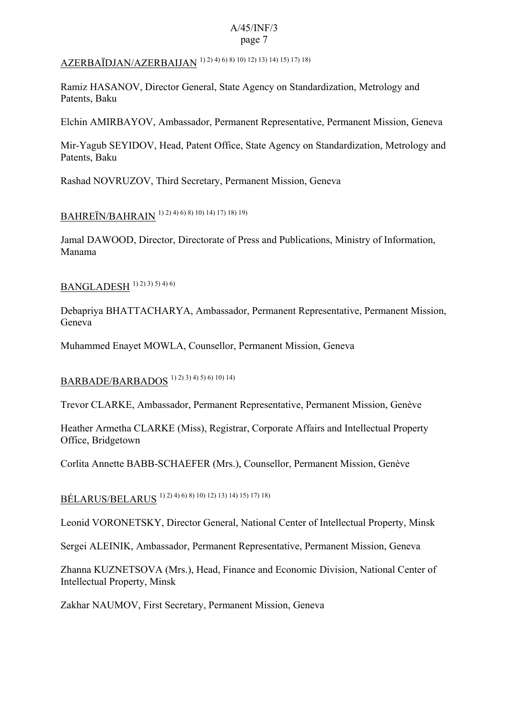# AZERBAÏDJAN/AZERBAIJAN 1) 2) 4) 6) 8) 10) 12) 13) 14) 15) 17) 18)

Ramiz HASANOV, Director General, State Agency on Standardization, Metrology and Patents, Baku

Elchin AMIRBAYOV, Ambassador, Permanent Representative, Permanent Mission, Geneva

Mir-Yagub SEYIDOV, Head, Patent Office, State Agency on Standardization, Metrology and Patents, Baku

Rashad NOVRUZOV, Third Secretary, Permanent Mission, Geneva

BAHREÏN/BAHRAIN 1) 2) 4) 6) 8) 10) 14) 17) 18) 19)

Jamal DAWOOD, Director, Directorate of Press and Publications, Ministry of Information, Manama

 $BANGLADESH$ <sup>1) 2) 3) 5) 4) 6)</sup>

Debapriya BHATTACHARYA, Ambassador, Permanent Representative, Permanent Mission, Geneva

Muhammed Enayet MOWLA, Counsellor, Permanent Mission, Geneva

BARBADE/BARBADOS 1) 2) 3) 4) 5) 6) 10) 14)

Trevor CLARKE, Ambassador, Permanent Representative, Permanent Mission, Genève

Heather Armetha CLARKE (Miss), Registrar, Corporate Affairs and Intellectual Property Office, Bridgetown

Corlita Annette BABB-SCHAEFER (Mrs.), Counsellor, Permanent Mission, Genève

BÉLARUS/BELARUS 1) 2) 4) 6) 8) 10) 12) 13) 14) 15) 17) 18)

Leonid VORONETSKY, Director General, National Center of Intellectual Property, Minsk

Sergei ALEINIK, Ambassador, Permanent Representative, Permanent Mission, Geneva

Zhanna KUZNETSOVA (Mrs.), Head, Finance and Economic Division, National Center of Intellectual Property, Minsk

Zakhar NAUMOV, First Secretary, Permanent Mission, Geneva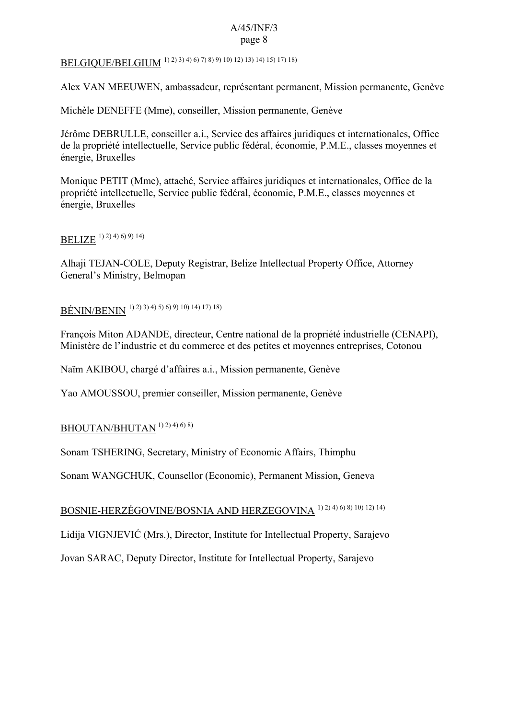# BELGIQUE/BELGIUM 1) 2) 3) 4) 6) 7) 8) 9) 10) 12) 13) 14) 15) 17) 18)

Alex VAN MEEUWEN, ambassadeur, représentant permanent, Mission permanente, Genève

Michèle DENEFFE (Mme), conseiller, Mission permanente, Genève

Jérôme DEBRULLE, conseiller a.i., Service des affaires juridiques et internationales, Office de la propriété intellectuelle, Service public fédéral, économie, P.M.E., classes moyennes et énergie, Bruxelles

Monique PETIT (Mme), attaché, Service affaires juridiques et internationales, Office de la propriété intellectuelle, Service public fédéral, économie, P.M.E., classes moyennes et énergie, Bruxelles

## BELIZE 1) 2) 4) 6) 9) 14)

Alhaji TEJAN-COLE, Deputy Registrar, Belize Intellectual Property Office, Attorney General's Ministry, Belmopan

## BÉNIN/BENIN 1) 2) 3) 4) 5) 6) 9) 10) 14) 17) 18)

François Miton ADANDE, directeur, Centre national de la propriété industrielle (CENAPI), Ministère de l'industrie et du commerce et des petites et moyennes entreprises, Cotonou

Naïm AKIBOU, chargé d'affaires a.i., Mission permanente, Genève

Yao AMOUSSOU, premier conseiller, Mission permanente, Genève

## $BHOUTAN/BHUTAN$ <sup>1) 2) 4) 6) 8)</sup>

Sonam TSHERING, Secretary, Ministry of Economic Affairs, Thimphu

Sonam WANGCHUK, Counsellor (Economic), Permanent Mission, Geneva

## BOSNIE-HERZÉGOVINE/BOSNIA AND HERZEGOVINA 1) 2) 4) 6) 8) 10) 12) 14)

Lidija VIGNJEVIĆ (Mrs.), Director, Institute for Intellectual Property, Sarajevo

Jovan SARAC, Deputy Director, Institute for Intellectual Property, Sarajevo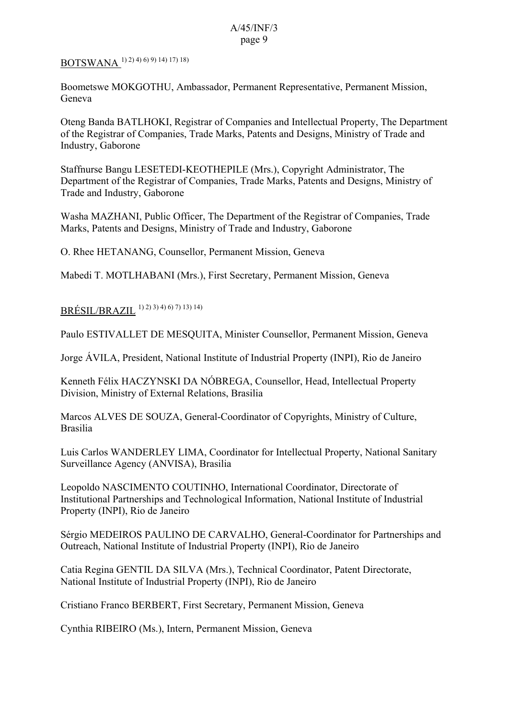## BOTSWANA 1) 2) 4) 6) 9) 14) 17) 18)

Boometswe MOKGOTHU, Ambassador, Permanent Representative, Permanent Mission, Geneva

Oteng Banda BATLHOKI, Registrar of Companies and Intellectual Property, The Department of the Registrar of Companies, Trade Marks, Patents and Designs, Ministry of Trade and Industry, Gaborone

Staffnurse Bangu LESETEDI-KEOTHEPILE (Mrs.), Copyright Administrator, The Department of the Registrar of Companies, Trade Marks, Patents and Designs, Ministry of Trade and Industry, Gaborone

Washa MAZHANI, Public Officer, The Department of the Registrar of Companies, Trade Marks, Patents and Designs, Ministry of Trade and Industry, Gaborone

O. Rhee HETANANG, Counsellor, Permanent Mission, Geneva

Mabedi T. MOTLHABANI (Mrs.), First Secretary, Permanent Mission, Geneva

### $BRÉSII / BR AZII [1) 2) 3) 4) 6) 7) 13) 14)$

Paulo ESTIVALLET DE MESQUITA, Minister Counsellor, Permanent Mission, Geneva

Jorge ÁVILA, President, National Institute of Industrial Property (INPI), Rio de Janeiro

Kenneth Félix HACZYNSKI DA NÓBREGA, Counsellor, Head, Intellectual Property Division, Ministry of External Relations, Brasilia

Marcos ALVES DE SOUZA, General-Coordinator of Copyrights, Ministry of Culture, Brasilia

Luis Carlos WANDERLEY LIMA, Coordinator for Intellectual Property, National Sanitary Surveillance Agency (ANVISA), Brasilia

Leopoldo NASCIMENTO COUTINHO, International Coordinator, Directorate of Institutional Partnerships and Technological Information, National Institute of Industrial Property (INPI), Rio de Janeiro

Sérgio MEDEIROS PAULINO DE CARVALHO, General-Coordinator for Partnerships and Outreach, National Institute of Industrial Property (INPI), Rio de Janeiro

Catia Regina GENTIL DA SILVA (Mrs.), Technical Coordinator, Patent Directorate, National Institute of Industrial Property (INPI), Rio de Janeiro

Cristiano Franco BERBERT, First Secretary, Permanent Mission, Geneva

Cynthia RIBEIRO (Ms.), Intern, Permanent Mission, Geneva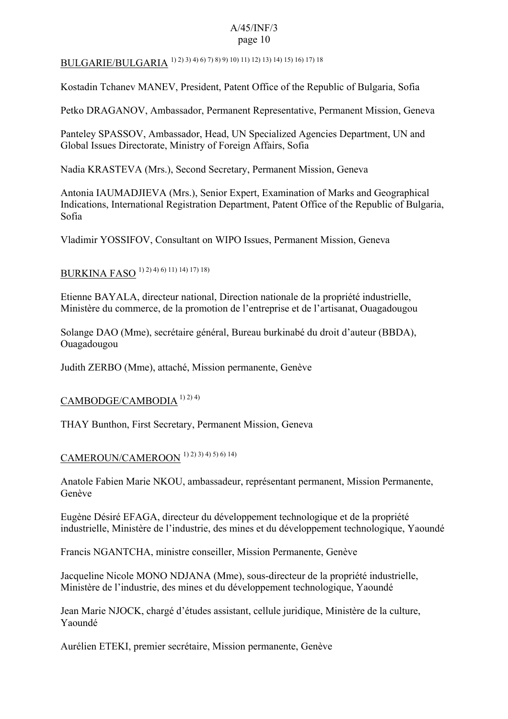# BULGARIE/BULGARIA 1) 2) 3) 4) 6) 7) 8) 9) 10) 11) 12) 13) 14) 15) 16) 17) 18

Kostadin Tchanev MANEV, President, Patent Office of the Republic of Bulgaria, Sofia

Petko DRAGANOV, Ambassador, Permanent Representative, Permanent Mission, Geneva

Panteley SPASSOV, Ambassador, Head, UN Specialized Agencies Department, UN and Global Issues Directorate, Ministry of Foreign Affairs, Sofia

Nadia KRASTEVA (Mrs.), Second Secretary, Permanent Mission, Geneva

Antonia IAUMADJIEVA (Mrs.), Senior Expert, Examination of Marks and Geographical Indications, International Registration Department, Patent Office of the Republic of Bulgaria, Sofia

Vladimir YOSSIFOV, Consultant on WIPO Issues, Permanent Mission, Geneva

## BURKINA FASO 1) 2) 4) 6) 11) 14) 17) 18)

Etienne BAYALA, directeur national, Direction nationale de la propriété industrielle, Ministère du commerce, de la promotion de l'entreprise et de l'artisanat, Ouagadougou

Solange DAO (Mme), secrétaire général, Bureau burkinabé du droit d'auteur (BBDA), Ouagadougou

Judith ZERBO (Mme), attaché, Mission permanente, Genève

## CAMBODGE/CAMBODIA 1) 2) 4)

THAY Bunthon, First Secretary, Permanent Mission, Geneva

## CAMEROUN/CAMEROON 1) 2) 3) 4) 5) 6) 14)

Anatole Fabien Marie NKOU, ambassadeur, représentant permanent, Mission Permanente, Genève

Eugène Désiré EFAGA, directeur du développement technologique et de la propriété industrielle, Ministère de l'industrie, des mines et du développement technologique, Yaoundé

Francis NGANTCHA, ministre conseiller, Mission Permanente, Genève

Jacqueline Nicole MONO NDJANA (Mme), sous-directeur de la propriété industrielle, Ministère de l'industrie, des mines et du développement technologique, Yaoundé

Jean Marie NJOCK, chargé d'études assistant, cellule juridique, Ministère de la culture, Yaoundé

Aurélien ETEKI, premier secrétaire, Mission permanente, Genève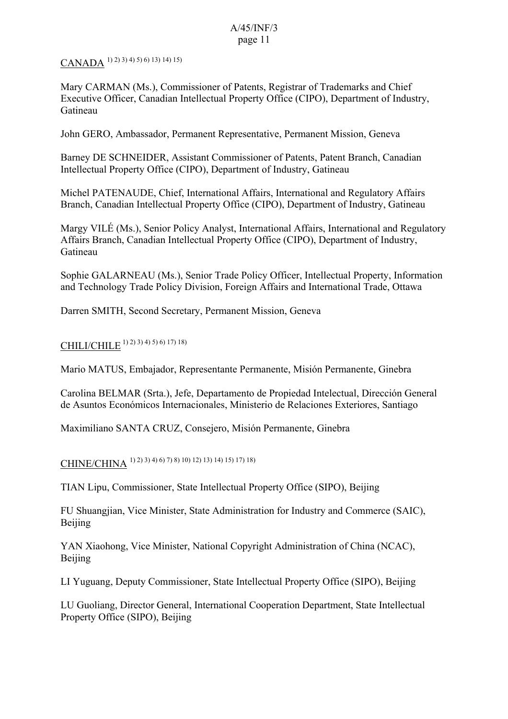# CANADA 1) 2) 3) 4) 5) 6) 13) 14) 15)

Mary CARMAN (Ms.), Commissioner of Patents, Registrar of Trademarks and Chief Executive Officer, Canadian Intellectual Property Office (CIPO), Department of Industry, Gatineau

John GERO, Ambassador, Permanent Representative, Permanent Mission, Geneva

Barney DE SCHNEIDER, Assistant Commissioner of Patents, Patent Branch, Canadian Intellectual Property Office (CIPO), Department of Industry, Gatineau

Michel PATENAUDE, Chief, International Affairs, International and Regulatory Affairs Branch, Canadian Intellectual Property Office (CIPO), Department of Industry, Gatineau

Margy VILÉ (Ms.), Senior Policy Analyst, International Affairs, International and Regulatory Affairs Branch, Canadian Intellectual Property Office (CIPO), Department of Industry, Gatineau

Sophie GALARNEAU (Ms.), Senior Trade Policy Officer, Intellectual Property, Information and Technology Trade Policy Division, Foreign Affairs and International Trade, Ottawa

Darren SMITH, Second Secretary, Permanent Mission, Geneva

# CHILI/CHILE 1) 2) 3) 4) 5) 6) 17) 18)

Mario MATUS, Embajador, Representante Permanente, Misión Permanente, Ginebra

Carolina BELMAR (Srta.), Jefe, Departamento de Propiedad Intelectual, Dirección General de Asuntos Económicos Internacionales, Ministerio de Relaciones Exteriores, Santiago

Maximiliano SANTA CRUZ, Consejero, Misión Permanente, Ginebra

# CHINE/CHINA 1) 2) 3) 4) 6) 7) 8) 10) 12) 13) 14) 15) 17) 18)

TIAN Lipu, Commissioner, State Intellectual Property Office (SIPO), Beijing

FU Shuangjian, Vice Minister, State Administration for Industry and Commerce (SAIC), Beijing

YAN Xiaohong, Vice Minister, National Copyright Administration of China (NCAC), Beijing

LI Yuguang, Deputy Commissioner, State Intellectual Property Office (SIPO), Beijing

LU Guoliang, Director General, International Cooperation Department, State Intellectual Property Office (SIPO), Beijing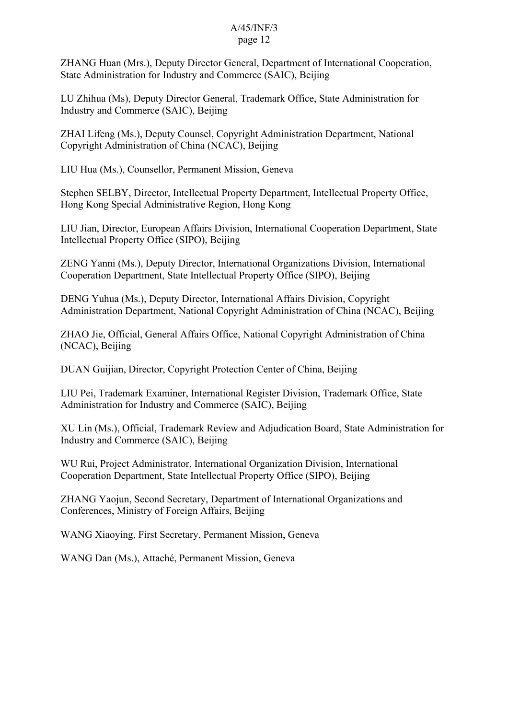ZHANG Huan (Mrs.), Deputy Director General, Department of International Cooperation, State Administration for Industry and Commerce (SAIC), Beijing

LU Zhihua (Ms), Deputy Director General, Trademark Office, State Administration for Industry and Commerce (SAIC), Beijing

ZHAI Lifeng (Ms.), Deputy Counsel, Copyright Administration Department, National Copyright Administration of China (NCAC), Beijing

LIU Hua (Ms.), Counsellor, Permanent Mission, Geneva

Stephen SELBY, Director, Intellectual Property Department, Intellectual Property Office, Hong Kong Special Administrative Region, Hong Kong

LIU Jian, Director, European Affairs Division, International Cooperation Department, State Intellectual Property Office (SIPO), Beijing

ZENG Yanni (Ms.), Deputy Director, International Organizations Division, International Cooperation Department, State Intellectual Property Office (SIPO), Beijing

DENG Yuhua (Ms.), Deputy Director, International Affairs Division, Copyright Administration Department, National Copyright Administration of China (NCAC), Beijing

ZHAO Jie, Official, General Affairs Office, National Copyright Administration of China (NCAC), Beijing

DUAN Guijian, Director, Copyright Protection Center of China, Beijing

LIU Pei, Trademark Examiner, International Register Division, Trademark Office, State Administration for Industry and Commerce (SAIC), Beijing

XU Lin (Ms.), Official, Trademark Review and Adjudication Board, State Administration for Industry and Commerce (SAIC), Beijing

WU Rui, Project Administrator, International Organization Division, International Cooperation Department, State Intellectual Property Office (SIPO), Beijing

ZHANG Yaojun, Second Secretary, Department of International Organizations and Conferences, Ministry of Foreign Affairs, Beijing

WANG Xiaoying, First Secretary, Permanent Mission, Geneva

WANG Dan (Ms.), Attaché, Permanent Mission, Geneva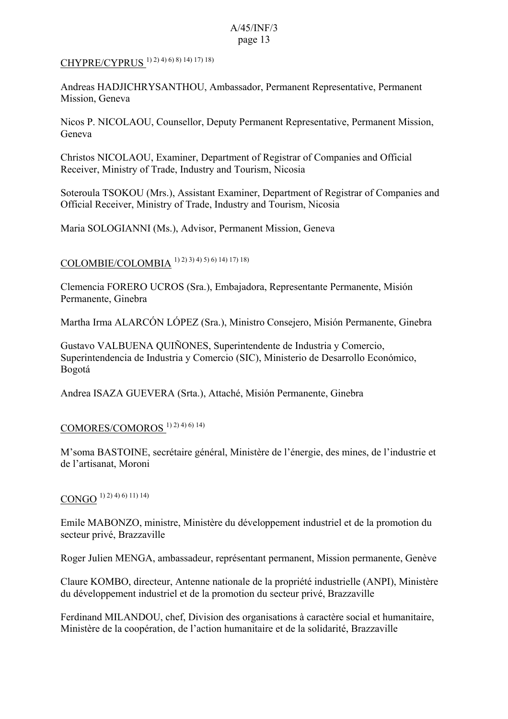## CHYPRE/CYPRUS 1) 2) 4) 6) 8) 14) 17) 18)

Andreas HADJICHRYSANTHOU, Ambassador, Permanent Representative, Permanent Mission, Geneva

Nicos P. NICOLAOU, Counsellor, Deputy Permanent Representative, Permanent Mission, Geneva

Christos NICOLAOU, Examiner, Department of Registrar of Companies and Official Receiver, Ministry of Trade, Industry and Tourism, Nicosia

Soteroula TSOKOU (Mrs.), Assistant Examiner, Department of Registrar of Companies and Official Receiver, Ministry of Trade, Industry and Tourism, Nicosia

Maria SOLOGIANNI (Ms.), Advisor, Permanent Mission, Geneva

# COLOMBIE/COLOMBIA 1) 2) 3) 4) 5) 6) 14) 17) 18)

Clemencia FORERO UCROS (Sra.), Embajadora, Representante Permanente, Misión Permanente, Ginebra

Martha Irma ALARCÓN LÓPEZ (Sra.), Ministro Consejero, Misión Permanente, Ginebra

Gustavo VALBUENA QUIÑONES, Superintendente de Industria y Comercio, Superintendencia de Industria y Comercio (SIC), Ministerio de Desarrollo Económico, Bogotá

Andrea ISAZA GUEVERA (Srta.), Attaché, Misión Permanente, Ginebra

### COMORES/COMOROS 1) 2) 4) 6) 14)

M'soma BASTOINE, secrétaire général, Ministère de l'énergie, des mines, de l'industrie et de l'artisanat, Moroni

### CONGO  $(1)$  2) 4) 6) 11) 14)

Emile MABONZO, ministre, Ministère du développement industriel et de la promotion du secteur privé, Brazzaville

Roger Julien MENGA, ambassadeur, représentant permanent, Mission permanente, Genève

Claure KOMBO, directeur, Antenne nationale de la propriété industrielle (ANPI), Ministère du développement industriel et de la promotion du secteur privé, Brazzaville

Ferdinand MILANDOU, chef, Division des organisations à caractère social et humanitaire, Ministère de la coopération, de l'action humanitaire et de la solidarité, Brazzaville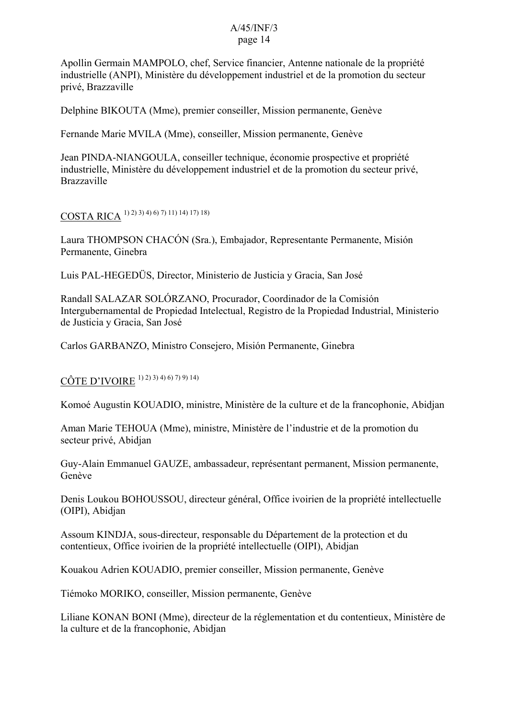Apollin Germain MAMPOLO, chef, Service financier, Antenne nationale de la propriété industrielle (ANPI), Ministère du développement industriel et de la promotion du secteur privé, Brazzaville

Delphine BIKOUTA (Mme), premier conseiller, Mission permanente, Genève

Fernande Marie MVILA (Mme), conseiller, Mission permanente, Genève

Jean PINDA-NIANGOULA, conseiller technique, économie prospective et propriété industrielle, Ministère du développement industriel et de la promotion du secteur privé, Brazzaville

## COSTA RICA 1) 2) 3) 4) 6) 7) 11) 14) 17) 18)

Laura THOMPSON CHACÓN (Sra.), Embajador, Representante Permanente, Misión Permanente, Ginebra

Luis PAL-HEGEDÜS, Director, Ministerio de Justicia y Gracia, San José

Randall SALAZAR SOLÓRZANO, Procurador, Coordinador de la Comisión Intergubernamental de Propiedad Intelectual, Registro de la Propiedad Industrial, Ministerio de Justicia y Gracia, San José

Carlos GARBANZO, Ministro Consejero, Misión Permanente, Ginebra

## CÔTE D'IVOIRE 1) 2) 3) 4) 6) 7) 9) 14)

Komoé Augustin KOUADIO, ministre, Ministère de la culture et de la francophonie, Abidjan

Aman Marie TEHOUA (Mme), ministre, Ministère de l'industrie et de la promotion du secteur privé, Abidjan

Guy-Alain Emmanuel GAUZE, ambassadeur, représentant permanent, Mission permanente, Genève

Denis Loukou BOHOUSSOU, directeur général, Office ivoirien de la propriété intellectuelle (OIPI), Abidjan

Assoum KINDJA, sous-directeur, responsable du Département de la protection et du contentieux, Office ivoirien de la propriété intellectuelle (OIPI), Abidjan

Kouakou Adrien KOUADIO, premier conseiller, Mission permanente, Genève

Tiémoko MORIKO, conseiller, Mission permanente, Genève

Liliane KONAN BONI (Mme), directeur de la réglementation et du contentieux, Ministère de la culture et de la francophonie, Abidjan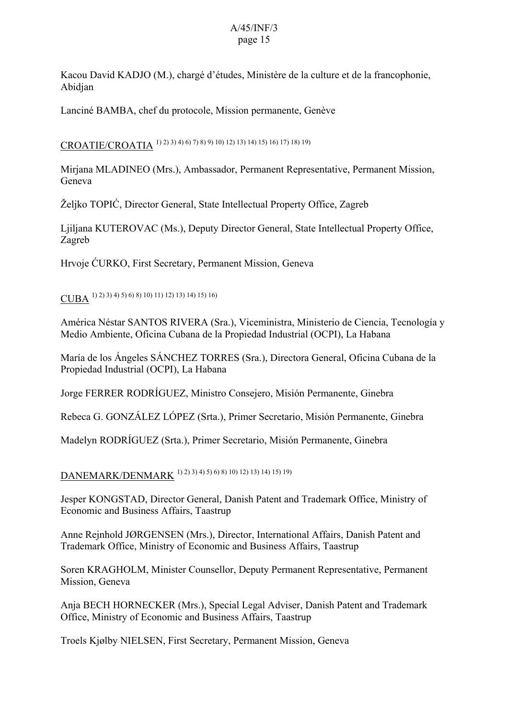Kacou David KADJO (M.), chargé d'études, Ministère de la culture et de la francophonie, Abidjan

Lanciné BAMBA, chef du protocole, Mission permanente, Genève

CROATIE/CROATIA 1) 2) 3) 4) 6) 7) 8) 9) 10) 12) 13) 14) 15) 16) 17) 18) 19)

Mirjana MLADINEO (Mrs.), Ambassador, Permanent Representative, Permanent Mission, Geneva

Željko TOPIĆ, Director General, State Intellectual Property Office, Zagreb

Ljiljana KUTEROVAC (Ms.), Deputy Director General, State Intellectual Property Office, Zagreb

Hrvoje ĆURKO, First Secretary, Permanent Mission, Geneva

CUBA 1) 2) 3) 4) 5) 6) 8) 10) 11) 12) 13) 14) 15) 16)

América Néstar SANTOS RIVERA (Sra.), Viceministra, Ministerio de Ciencia, Tecnología y Medio Ambiente, Oficina Cubana de la Propiedad Industrial (OCPI), La Habana

María de los Ángeles SÁNCHEZ TORRES (Sra.), Directora General, Oficina Cubana de la Propiedad Industrial (OCPI), La Habana

Jorge FERRER RODRÍGUEZ, Ministro Consejero, Misión Permanente, Ginebra

Rebeca G. GONZÁLEZ LÓPEZ (Srta.), Primer Secretario, Misión Permanente, Ginebra

Madelyn RODRÍGUEZ (Srta.), Primer Secretario, Misión Permanente, Ginebra

DANEMARK/DENMARK 1) 2) 3) 4) 5) 6) 8) 10) 12) 13) 14) 15) 19)

Jesper KONGSTAD, Director General, Danish Patent and Trademark Office, Ministry of Economic and Business Affairs, Taastrup

Anne Rejnhold JØRGENSEN (Mrs.), Director, International Affairs, Danish Patent and Trademark Office, Ministry of Economic and Business Affairs, Taastrup

Soren KRAGHOLM, Minister Counsellor, Deputy Permanent Representative, Permanent Mission, Geneva

Anja BECH HORNECKER (Mrs.), Special Legal Adviser, Danish Patent and Trademark Office, Ministry of Economic and Business Affairs, Taastrup

Troels Kjølby NIELSEN, First Secretary, Permanent Mission, Geneva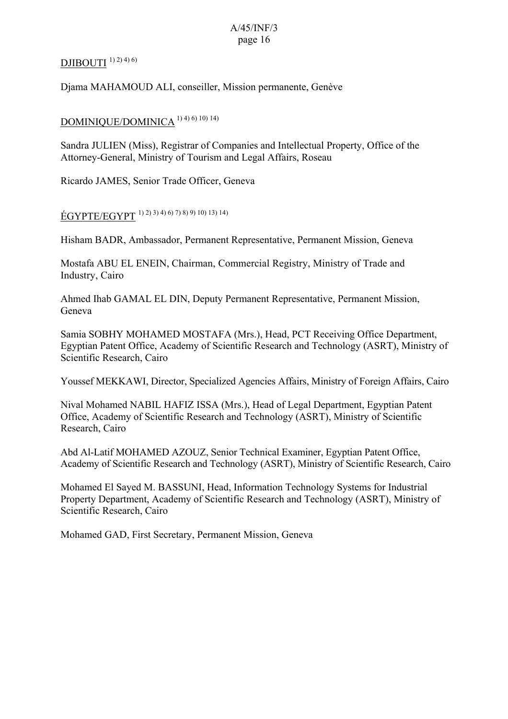### DJIBOUTI $^{1)$ 2) $4)$ 6)

Djama MAHAMOUD ALI, conseiller, Mission permanente, Genève

### DOMINIQUE/DOMINICA<sup>1) 4) 6) 10) 14)</sup>

Sandra JULIEN (Miss), Registrar of Companies and Intellectual Property, Office of the Attorney-General, Ministry of Tourism and Legal Affairs, Roseau

Ricardo JAMES, Senior Trade Officer, Geneva

ÉGYPTE/EGYPT 1) 2) 3) 4) 6) 7) 8) 9) 10) 13) 14)

Hisham BADR, Ambassador, Permanent Representative, Permanent Mission, Geneva

Mostafa ABU EL ENEIN, Chairman, Commercial Registry, Ministry of Trade and Industry, Cairo

Ahmed Ihab GAMAL EL DIN, Deputy Permanent Representative, Permanent Mission, Geneva

Samia SOBHY MOHAMED MOSTAFA (Mrs.), Head, PCT Receiving Office Department, Egyptian Patent Office, Academy of Scientific Research and Technology (ASRT), Ministry of Scientific Research, Cairo

Youssef MEKKAWI, Director, Specialized Agencies Affairs, Ministry of Foreign Affairs, Cairo

Nival Mohamed NABIL HAFIZ ISSA (Mrs.), Head of Legal Department, Egyptian Patent Office, Academy of Scientific Research and Technology (ASRT), Ministry of Scientific Research, Cairo

Abd Al-Latif MOHAMED AZOUZ, Senior Technical Examiner, Egyptian Patent Office, Academy of Scientific Research and Technology (ASRT), Ministry of Scientific Research, Cairo

Mohamed El Sayed M. BASSUNI, Head, Information Technology Systems for Industrial Property Department, Academy of Scientific Research and Technology (ASRT), Ministry of Scientific Research, Cairo

Mohamed GAD, First Secretary, Permanent Mission, Geneva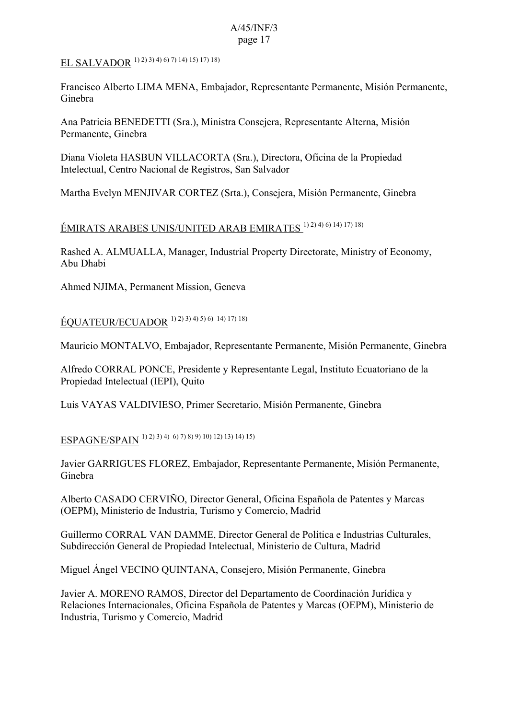# EL SALVADOR 1) 2) 3) 4) 6) 7) 14) 15) 17) 18)

Francisco Alberto LIMA MENA, Embajador, Representante Permanente, Misión Permanente, Ginebra

Ana Patricia BENEDETTI (Sra.), Ministra Consejera, Representante Alterna, Misión Permanente, Ginebra

Diana Violeta HASBUN VILLACORTA (Sra.), Directora, Oficina de la Propiedad Intelectual, Centro Nacional de Registros, San Salvador

Martha Evelyn MENJIVAR CORTEZ (Srta.), Consejera, Misión Permanente, Ginebra

# ÉMIRATS ARABES UNIS/UNITED ARAB EMIRATES 1) 2) 4) 6) 14) 17) 18)

Rashed A. ALMUALLA, Manager, Industrial Property Directorate, Ministry of Economy, Abu Dhabi

Ahmed NJIMA, Permanent Mission, Geneva

ÉQUATEUR/ECUADOR 1) 2) 3) 4) 5) 6) 14) 17) 18)

Mauricio MONTALVO, Embajador, Representante Permanente, Misión Permanente, Ginebra

Alfredo CORRAL PONCE, Presidente y Representante Legal, Instituto Ecuatoriano de la Propiedad Intelectual (IEPI), Quito

Luis VAYAS VALDIVIESO, Primer Secretario, Misión Permanente, Ginebra

ESPAGNE/SPAIN 1) 2) 3) 4) 6) 7) 8) 9) 10) 12) 13) 14) 15)

Javier GARRIGUES FLOREZ, Embajador, Representante Permanente, Misión Permanente, Ginebra

Alberto CASADO CERVIÑO, Director General, Oficina Española de Patentes y Marcas (OEPM), Ministerio de Industria, Turismo y Comercio, Madrid

Guillermo CORRAL VAN DAMME, Director General de Política e Industrias Culturales, Subdirección General de Propiedad Intelectual, Ministerio de Cultura, Madrid

Miguel Ángel VECINO QUINTANA, Consejero, Misión Permanente, Ginebra

Javier A. MORENO RAMOS, Director del Departamento de Coordinación Jurídica y Relaciones Internacionales, Oficina Española de Patentes y Marcas (OEPM), Ministerio de Industria, Turismo y Comercio, Madrid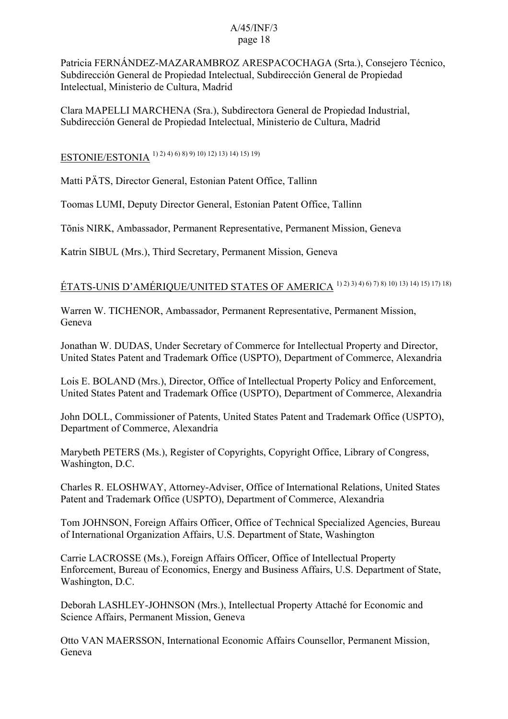Patricia FERNÁNDEZ-MAZARAMBROZ ARESPACOCHAGA (Srta.), Consejero Técnico, Subdirección General de Propiedad Intelectual, Subdirección General de Propiedad Intelectual, Ministerio de Cultura, Madrid

Clara MAPELLI MARCHENA (Sra.), Subdirectora General de Propiedad Industrial, Subdirección General de Propiedad Intelectual, Ministerio de Cultura, Madrid

ESTONIE/ESTONIA 1) 2) 4) 6) 8) 9) 10) 12) 13) 14) 15) 19)

Matti PÄTS, Director General, Estonian Patent Office, Tallinn

Toomas LUMI, Deputy Director General, Estonian Patent Office, Tallinn

Tõnis NIRK, Ambassador, Permanent Representative, Permanent Mission, Geneva

Katrin SIBUL (Mrs.), Third Secretary, Permanent Mission, Geneva

# ÉTATS-UNIS D'AMÉRIQUE/UNITED STATES OF AMERICA 1) 2) 3) 4) 6) 7) 8) 10) 13) 14) 15) 17) 18)

Warren W. TICHENOR, Ambassador, Permanent Representative, Permanent Mission, Geneva

Jonathan W. DUDAS, Under Secretary of Commerce for Intellectual Property and Director, United States Patent and Trademark Office (USPTO), Department of Commerce, Alexandria

Lois E. BOLAND (Mrs.), Director, Office of Intellectual Property Policy and Enforcement, United States Patent and Trademark Office (USPTO), Department of Commerce, Alexandria

John DOLL, Commissioner of Patents, United States Patent and Trademark Office (USPTO), Department of Commerce, Alexandria

Marybeth PETERS (Ms.), Register of Copyrights, Copyright Office, Library of Congress, Washington, D.C.

Charles R. ELOSHWAY, Attorney-Adviser, Office of International Relations, United States Patent and Trademark Office (USPTO), Department of Commerce, Alexandria

Tom JOHNSON, Foreign Affairs Officer, Office of Technical Specialized Agencies, Bureau of International Organization Affairs, U.S. Department of State, Washington

Carrie LACROSSE (Ms.), Foreign Affairs Officer, Office of Intellectual Property Enforcement, Bureau of Economics, Energy and Business Affairs, U.S. Department of State, Washington, D.C.

Deborah LASHLEY-JOHNSON (Mrs.), Intellectual Property Attaché for Economic and Science Affairs, Permanent Mission, Geneva

Otto VAN MAERSSON, International Economic Affairs Counsellor, Permanent Mission, Geneva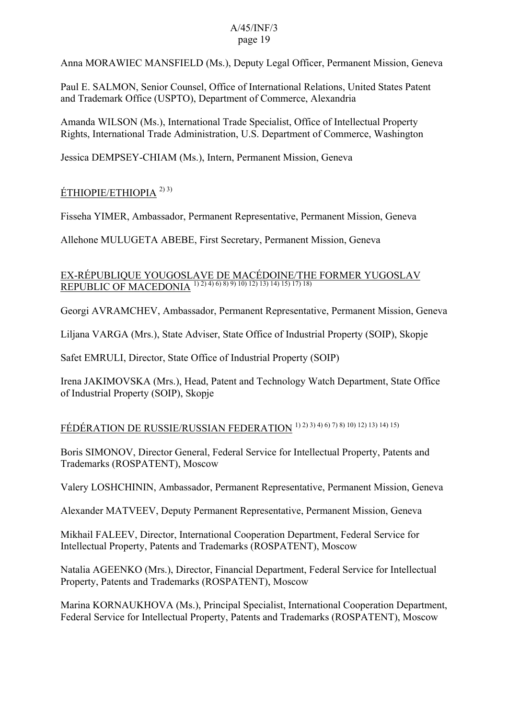Anna MORAWIEC MANSFIELD (Ms.), Deputy Legal Officer, Permanent Mission, Geneva

Paul E. SALMON, Senior Counsel, Office of International Relations, United States Patent and Trademark Office (USPTO), Department of Commerce, Alexandria

Amanda WILSON (Ms.), International Trade Specialist, Office of Intellectual Property Rights, International Trade Administration, U.S. Department of Commerce, Washington

Jessica DEMPSEY-CHIAM (Ms.), Intern, Permanent Mission, Geneva

## ÉTHIOPIE/ETHIOPIA 2) 3)

Fisseha YIMER, Ambassador, Permanent Representative, Permanent Mission, Geneva

Allehone MULUGETA ABEBE, First Secretary, Permanent Mission, Geneva

## EX-RÉPUBLIQUE YOUGOSLAVE DE MACÉDOINE/THE FORMER YUGOSLAV REPUBLIC OF MACEDONIA<sup>1) 2) 4) 6) 8) 9) 10) 12) 13) 14) 15) 17) 18)</sup>

Georgi AVRAMCHEV, Ambassador, Permanent Representative, Permanent Mission, Geneva

Liljana VARGA (Mrs.), State Adviser, State Office of Industrial Property (SOIP), Skopje

Safet EMRULI, Director, State Office of Industrial Property (SOIP)

Irena JAKIMOVSKA (Mrs.), Head, Patent and Technology Watch Department, State Office of Industrial Property (SOIP), Skopje

## FÉDÉRATION DE RUSSIE/RUSSIAN FEDERATION 1) 2) 3) 4) 6) 7) 8) 10) 12) 13) 14) 15)

Boris SIMONOV, Director General, Federal Service for Intellectual Property, Patents and Trademarks (ROSPATENT), Moscow

Valery LOSHCHININ, Ambassador, Permanent Representative, Permanent Mission, Geneva

Alexander MATVEEV, Deputy Permanent Representative, Permanent Mission, Geneva

Mikhail FALEEV, Director, International Cooperation Department, Federal Service for Intellectual Property, Patents and Trademarks (ROSPATENT), Moscow

Natalia AGEENKO (Mrs.), Director, Financial Department, Federal Service for Intellectual Property, Patents and Trademarks (ROSPATENT), Moscow

Marina KORNAUKHOVA (Ms.), Principal Specialist, International Cooperation Department, Federal Service for Intellectual Property, Patents and Trademarks (ROSPATENT), Moscow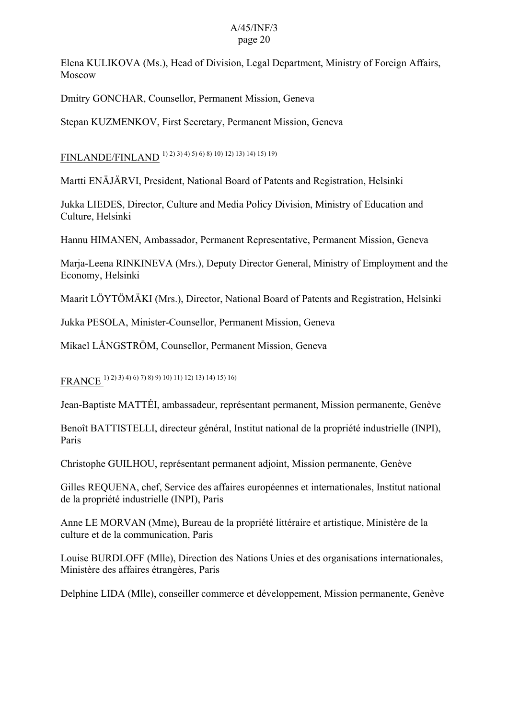Elena KULIKOVA (Ms.), Head of Division, Legal Department, Ministry of Foreign Affairs, Moscow

Dmitry GONCHAR, Counsellor, Permanent Mission, Geneva

Stepan KUZMENKOV, First Secretary, Permanent Mission, Geneva

FINLANDE/FINLAND 1) 2) 3) 4) 5) 6) 8) 10) 12) 13) 14) 15) 19)

Martti ENÄJÄRVI, President, National Board of Patents and Registration, Helsinki

Jukka LIEDES, Director, Culture and Media Policy Division, Ministry of Education and Culture, Helsinki

Hannu HIMANEN, Ambassador, Permanent Representative, Permanent Mission, Geneva

Marja-Leena RINKINEVA (Mrs.), Deputy Director General, Ministry of Employment and the Economy, Helsinki

Maarit LÖYTÖMÄKI (Mrs.), Director, National Board of Patents and Registration, Helsinki

Jukka PESOLA, Minister-Counsellor, Permanent Mission, Geneva

Mikael LÅNGSTRÖM, Counsellor, Permanent Mission, Geneva

FRANCE 1) 2) 3) 4) 6) 7) 8) 9) 10) 11) 12) 13) 14) 15) 16)

Jean-Baptiste MATTÉI, ambassadeur, représentant permanent, Mission permanente, Genève

Benoît BATTISTELLI, directeur général, Institut national de la propriété industrielle (INPI), Paris

Christophe GUILHOU, représentant permanent adjoint, Mission permanente, Genève

Gilles REQUENA, chef, Service des affaires européennes et internationales, Institut national de la propriété industrielle (INPI), Paris

Anne LE MORVAN (Mme), Bureau de la propriété littéraire et artistique, Ministère de la culture et de la communication, Paris

Louise BURDLOFF (Mlle), Direction des Nations Unies et des organisations internationales, Ministère des affaires étrangères, Paris

Delphine LIDA (Mlle), conseiller commerce et développement, Mission permanente, Genève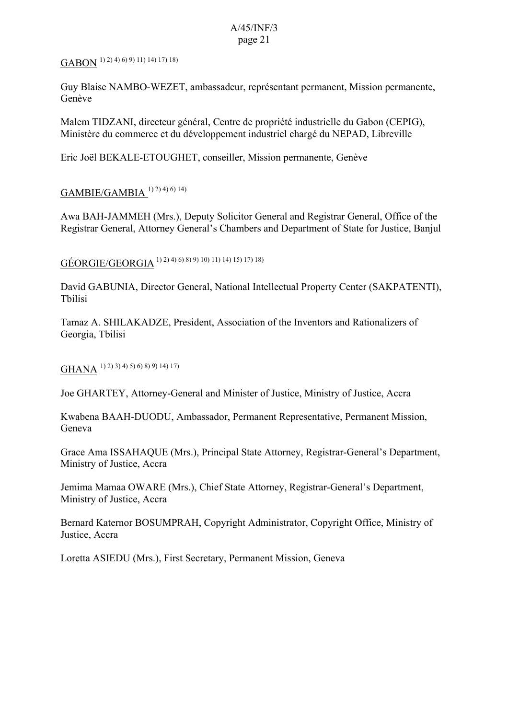# $\overline{\text{GABON}}^{(1)\,2)}$  4) 6) 9) 11) 14) 17) 18)

Guy Blaise NAMBO-WEZET, ambassadeur, représentant permanent, Mission permanente, Genève

Malem TIDZANI, directeur général, Centre de propriété industrielle du Gabon (CEPIG), Ministère du commerce et du développement industriel chargé du NEPAD, Libreville

Eric Joël BEKALE-ETOUGHET, conseiller, Mission permanente, Genève

## GAMBIE/GAMBIA 1) 2) 4) 6) 14)

Awa BAH-JAMMEH (Mrs.), Deputy Solicitor General and Registrar General, Office of the Registrar General, Attorney General's Chambers and Department of State for Justice, Banjul

GÉORGIE/GEORGIA 1) 2) 4) 6) 8) 9) 10) 11) 14) 15) 17) 18)

David GABUNIA, Director General, National Intellectual Property Center (SAKPATENTI), Tbilisi

Tamaz A. SHILAKADZE, President, Association of the Inventors and Rationalizers of Georgia, Tbilisi

GHANA 1) 2) 3) 4) 5) 6) 8) 9) 14) 17)

Joe GHARTEY, Attorney-General and Minister of Justice, Ministry of Justice, Accra

Kwabena BAAH-DUODU, Ambassador, Permanent Representative, Permanent Mission, Geneva

Grace Ama ISSAHAQUE (Mrs.), Principal State Attorney, Registrar-General's Department, Ministry of Justice, Accra

Jemima Mamaa OWARE (Mrs.), Chief State Attorney, Registrar-General's Department, Ministry of Justice, Accra

Bernard Katernor BOSUMPRAH, Copyright Administrator, Copyright Office, Ministry of Justice, Accra

Loretta ASIEDU (Mrs.), First Secretary, Permanent Mission, Geneva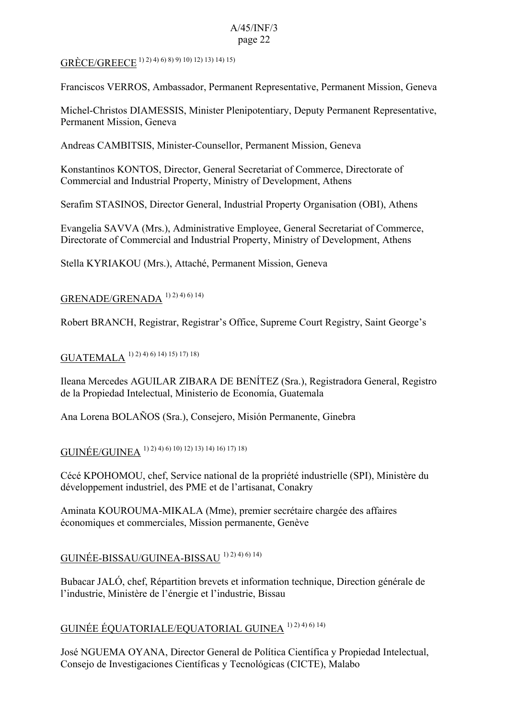## GRÈCE/GREECE 1) 2) 4) 6) 8) 9) 10) 12) 13) 14) 15)

Franciscos VERROS, Ambassador, Permanent Representative, Permanent Mission, Geneva

Michel-Christos DIAMESSIS, Minister Plenipotentiary, Deputy Permanent Representative, Permanent Mission, Geneva

Andreas CAMBITSIS, Minister-Counsellor, Permanent Mission, Geneva

Konstantinos KONTOS, Director, General Secretariat of Commerce, Directorate of Commercial and Industrial Property, Ministry of Development, Athens

Serafim STASINOS, Director General, Industrial Property Organisation (OBI), Athens

Evangelia SAVVA (Mrs.), Administrative Employee, General Secretariat of Commerce, Directorate of Commercial and Industrial Property, Ministry of Development, Athens

Stella KYRIAKOU (Mrs.), Attaché, Permanent Mission, Geneva

### GRENADE/GRENADA<sup>1) 2) 4) 6) 14)</sup>

Robert BRANCH, Registrar, Registrar's Office, Supreme Court Registry, Saint George's

## GUATEMALA 1) 2) 4) 6) 14) 15) 17) 18)

Ileana Mercedes AGUILAR ZIBARA DE BENÍTEZ (Sra.), Registradora General, Registro de la Propiedad Intelectual, Ministerio de Economía, Guatemala

Ana Lorena BOLAÑOS (Sra.), Consejero, Misión Permanente, Ginebra

GUINÉE/GUINEA 1) 2) 4) 6) 10) 12) 13) 14) 16) 17) 18)

Cécé KPOHOMOU, chef, Service national de la propriété industrielle (SPI), Ministère du développement industriel, des PME et de l'artisanat, Conakry

Aminata KOUROUMA-MIKALA (Mme), premier secrétaire chargée des affaires économiques et commerciales, Mission permanente, Genève

## GUINÉE-BISSAU/GUINEA-BISSAU 1) 2) 4) 6) 14)

Bubacar JALÓ, chef, Répartition brevets et information technique, Direction générale de l'industrie, Ministère de l'énergie et l'industrie, Bissau

## GUINÉE ÉQUATORIALE/EQUATORIAL GUINEA 1) 2) 4) 6) 14)

José NGUEMA OYANA, Director General de Política Científica y Propiedad Intelectual, Consejo de Investigaciones Científicas y Tecnológicas (CICTE), Malabo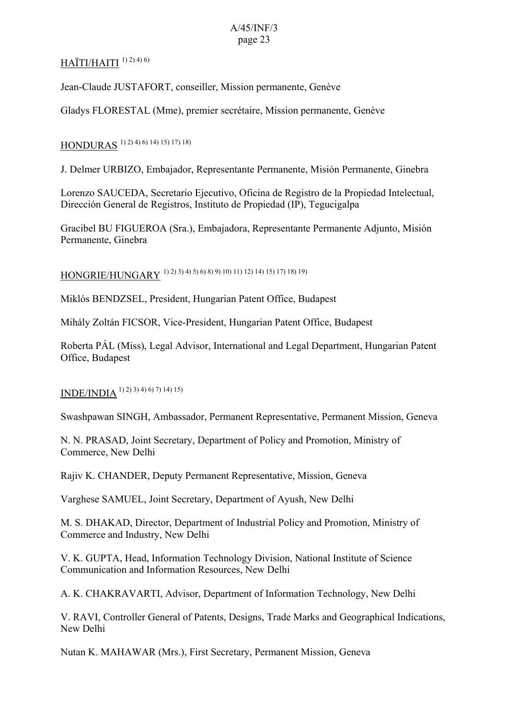## $HAİTI/HAITI<sup>1) 2) 4) 6)</sup>$

Jean-Claude JUSTAFORT, conseiller, Mission permanente, Genève

Gladys FLORESTAL (Mme), premier secrétaire, Mission permanente, Genève

# HONDURAS 1) 2) 4) 6) 14) 15) 17) 18)

J. Delmer URBIZO, Embajador, Representante Permanente, Misión Permanente, Ginebra

Lorenzo SAUCEDA, Secretario Ejecutivo, Oficina de Registro de la Propiedad Intelectual, Dirección General de Registros, Instituto de Propiedad (IP), Tegucigalpa

Gracibel BU FIGUEROA (Sra.), Embajadora, Representante Permanente Adjunto, Misión Permanente, Ginebra

HONGRIE/HUNGARY 1) 2) 3) 4) 5) 6) 8) 9) 10) 11) 12) 14) 15) 17) 18) 19)

Miklós BENDZSEL, President, Hungarian Patent Office, Budapest

Mihály Zoltán FICSOR, Vice-President, Hungarian Patent Office, Budapest

Roberta PÁL (Miss), Legal Advisor, International and Legal Department, Hungarian Patent Office, Budapest

## INDE/INDIA 1) 2) 3) 4) 6) 7) 14) 15)

Swashpawan SINGH, Ambassador, Permanent Representative, Permanent Mission, Geneva

N. N. PRASAD, Joint Secretary, Department of Policy and Promotion, Ministry of Commerce, New Delhi

Rajiv K. CHANDER, Deputy Permanent Representative, Mission, Geneva

Varghese SAMUEL, Joint Secretary, Department of Ayush, New Delhi

M. S. DHAKAD, Director, Department of Industrial Policy and Promotion, Ministry of Commerce and Industry, New Delhi

V. K. GUPTA, Head, Information Technology Division, National Institute of Science Communication and Information Resources, New Delhi

A. K. CHAKRAVARTI, Advisor, Department of Information Technology, New Delhi

V. RAVI, Controller General of Patents, Designs, Trade Marks and Geographical Indications, New Delhi

Nutan K. MAHAWAR (Mrs.), First Secretary, Permanent Mission, Geneva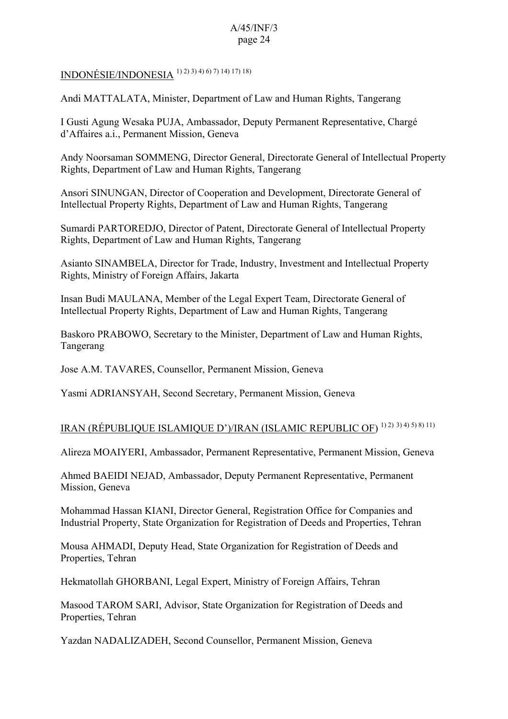INDONÉSIE/INDONESIA 1) 2) 3) 4) 6) 7) 14) 17) 18)

Andi MATTALATA, Minister, Department of Law and Human Rights, Tangerang

I Gusti Agung Wesaka PUJA, Ambassador, Deputy Permanent Representative, Chargé d'Affaires a.i., Permanent Mission, Geneva

Andy Noorsaman SOMMENG, Director General, Directorate General of Intellectual Property Rights, Department of Law and Human Rights, Tangerang

Ansori SINUNGAN, Director of Cooperation and Development, Directorate General of Intellectual Property Rights, Department of Law and Human Rights, Tangerang

Sumardi PARTOREDJO, Director of Patent, Directorate General of Intellectual Property Rights, Department of Law and Human Rights, Tangerang

Asianto SINAMBELA, Director for Trade, Industry, Investment and Intellectual Property Rights, Ministry of Foreign Affairs, Jakarta

Insan Budi MAULANA, Member of the Legal Expert Team, Directorate General of Intellectual Property Rights, Department of Law and Human Rights, Tangerang

Baskoro PRABOWO, Secretary to the Minister, Department of Law and Human Rights, Tangerang

Jose A.M. TAVARES, Counsellor, Permanent Mission, Geneva

Yasmi ADRIANSYAH, Second Secretary, Permanent Mission, Geneva

## IRAN (RÉPUBLIQUE ISLAMIQUE D')/IRAN (ISLAMIC REPUBLIC OF) 1) 2) 3) 4) 5) 8) 11)

Alireza MOAIYERI, Ambassador, Permanent Representative, Permanent Mission, Geneva

Ahmed BAEIDI NEJAD, Ambassador, Deputy Permanent Representative, Permanent Mission, Geneva

Mohammad Hassan KIANI, Director General, Registration Office for Companies and Industrial Property, State Organization for Registration of Deeds and Properties, Tehran

Mousa AHMADI, Deputy Head, State Organization for Registration of Deeds and Properties, Tehran

Hekmatollah GHORBANI, Legal Expert, Ministry of Foreign Affairs, Tehran

Masood TAROM SARI, Advisor, State Organization for Registration of Deeds and Properties, Tehran

Yazdan NADALIZADEH, Second Counsellor, Permanent Mission, Geneva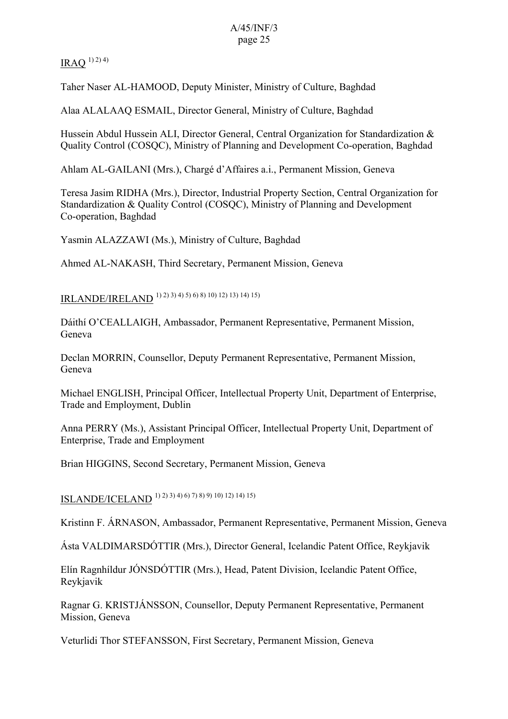$IRAO$ <sup>1) 2) 4)</sup>

Taher Naser AL-HAMOOD, Deputy Minister, Ministry of Culture, Baghdad

Alaa ALALAAQ ESMAIL, Director General, Ministry of Culture, Baghdad

Hussein Abdul Hussein ALI, Director General, Central Organization for Standardization & Quality Control (COSQC), Ministry of Planning and Development Co-operation, Baghdad

Ahlam AL-GAILANI (Mrs.), Chargé d'Affaires a.i., Permanent Mission, Geneva

Teresa Jasim RIDHA (Mrs.), Director, Industrial Property Section, Central Organization for Standardization & Quality Control (COSQC), Ministry of Planning and Development Co-operation, Baghdad

Yasmin ALAZZAWI (Ms.), Ministry of Culture, Baghdad

Ahmed AL-NAKASH, Third Secretary, Permanent Mission, Geneva

IRLANDE/IRELAND 1) 2) 3) 4) 5) 6) 8) 10) 12) 13) 14) 15)

Dáithí O'CEALLAIGH, Ambassador, Permanent Representative, Permanent Mission, Geneva

Declan MORRIN, Counsellor, Deputy Permanent Representative, Permanent Mission, Geneva

Michael ENGLISH, Principal Officer, Intellectual Property Unit, Department of Enterprise, Trade and Employment, Dublin

Anna PERRY (Ms.), Assistant Principal Officer, Intellectual Property Unit, Department of Enterprise, Trade and Employment

Brian HIGGINS, Second Secretary, Permanent Mission, Geneva

ISLANDE/ICELAND 1) 2) 3) 4) 6) 7) 8) 9) 10) 12) 14) 15)

Kristinn F. ÁRNASON, Ambassador, Permanent Representative, Permanent Mission, Geneva

Ásta VALDIMARSDÓTTIR (Mrs.), Director General, Icelandic Patent Office, Reykjavik

Elín Ragnhíldur JÓNSDÓTTIR (Mrs.), Head, Patent Division, Icelandic Patent Office, Reykjavik

Ragnar G. KRISTJÁNSSON, Counsellor, Deputy Permanent Representative, Permanent Mission, Geneva

Veturlidi Thor STEFANSSON, First Secretary, Permanent Mission, Geneva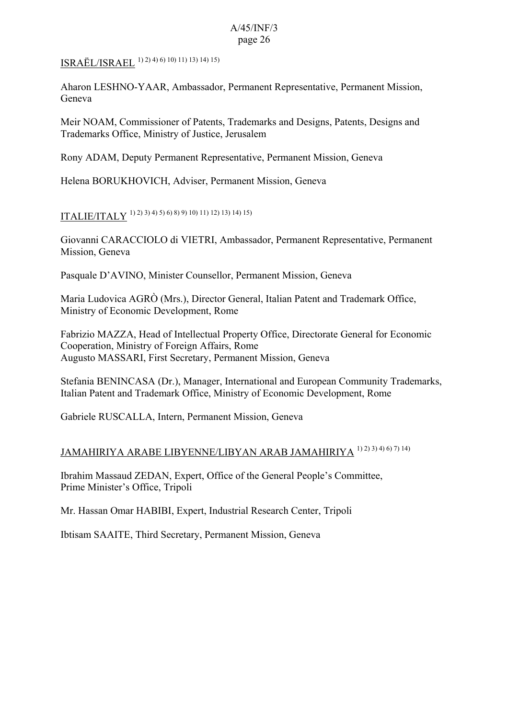ISRAËL/ISRAEL 1) 2) 4) 6) 10) 11) 13) 14) 15)

Aharon LESHNO-YAAR, Ambassador, Permanent Representative, Permanent Mission, Geneva

Meir NOAM, Commissioner of Patents, Trademarks and Designs, Patents, Designs and Trademarks Office, Ministry of Justice, Jerusalem

Rony ADAM, Deputy Permanent Representative, Permanent Mission, Geneva

Helena BORUKHOVICH, Adviser, Permanent Mission, Geneva

ITALIE/ITALY 1) 2) 3) 4) 5) 6) 8) 9) 10) 11) 12) 13) 14) 15)

Giovanni CARACCIOLO di VIETRI, Ambassador, Permanent Representative, Permanent Mission, Geneva

Pasquale D'AVINO, Minister Counsellor, Permanent Mission, Geneva

Maria Ludovica AGRÒ (Mrs.), Director General, Italian Patent and Trademark Office, Ministry of Economic Development, Rome

Fabrizio MAZZA, Head of Intellectual Property Office, Directorate General for Economic Cooperation, Ministry of Foreign Affairs, Rome Augusto MASSARI, First Secretary, Permanent Mission, Geneva

Stefania BENINCASA (Dr.), Manager, International and European Community Trademarks, Italian Patent and Trademark Office, Ministry of Economic Development, Rome

Gabriele RUSCALLA, Intern, Permanent Mission, Geneva

## JAMAHIRIYA ARABE LIBYENNE/LIBYAN ARAB JAMAHIRIYA 1) 2) 3) 4) 6) 7) 14)

Ibrahim Massaud ZEDAN, Expert, Office of the General People's Committee, Prime Minister's Office, Tripoli

Mr. Hassan Omar HABIBI, Expert, Industrial Research Center, Tripoli

Ibtisam SAAITE, Third Secretary, Permanent Mission, Geneva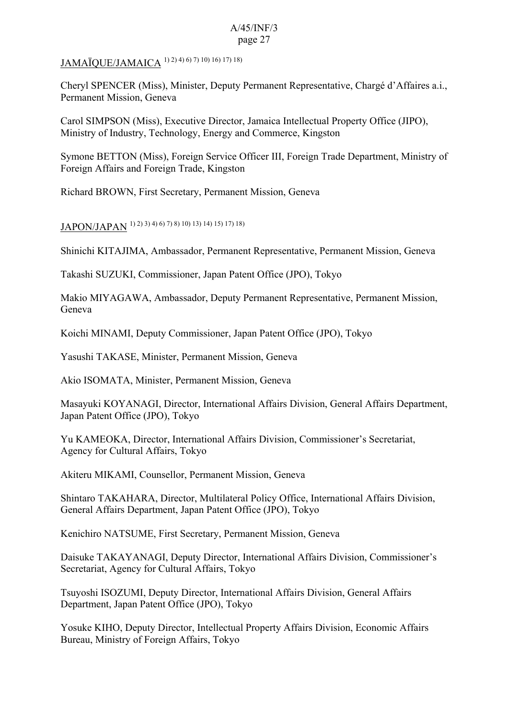JAMAÏQUE/JAMAICA 1) 2) 4) 6) 7) 10) 16) 17) 18)

Cheryl SPENCER (Miss), Minister, Deputy Permanent Representative, Chargé d'Affaires a.i., Permanent Mission, Geneva

Carol SIMPSON (Miss), Executive Director, Jamaica Intellectual Property Office (JIPO), Ministry of Industry, Technology, Energy and Commerce, Kingston

Symone BETTON (Miss), Foreign Service Officer III, Foreign Trade Department, Ministry of Foreign Affairs and Foreign Trade, Kingston

Richard BROWN, First Secretary, Permanent Mission, Geneva

# JAPON/JAPAN 1) 2) 3) 4) 6) 7) 8) 10) 13) 14) 15) 17) 18)

Shinichi KITAJIMA, Ambassador, Permanent Representative, Permanent Mission, Geneva

Takashi SUZUKI, Commissioner, Japan Patent Office (JPO), Tokyo

Makio MIYAGAWA, Ambassador, Deputy Permanent Representative, Permanent Mission, Geneva

Koichi MINAMI, Deputy Commissioner, Japan Patent Office (JPO), Tokyo

Yasushi TAKASE, Minister, Permanent Mission, Geneva

Akio ISOMATA, Minister, Permanent Mission, Geneva

Masayuki KOYANAGI, Director, International Affairs Division, General Affairs Department, Japan Patent Office (JPO), Tokyo

Yu KAMEOKA, Director, International Affairs Division, Commissioner's Secretariat, Agency for Cultural Affairs, Tokyo

Akiteru MIKAMI, Counsellor, Permanent Mission, Geneva

Shintaro TAKAHARA, Director, Multilateral Policy Office, International Affairs Division, General Affairs Department, Japan Patent Office (JPO), Tokyo

Kenichiro NATSUME, First Secretary, Permanent Mission, Geneva

Daisuke TAKAYANAGI, Deputy Director, International Affairs Division, Commissioner's Secretariat, Agency for Cultural Affairs, Tokyo

Tsuyoshi ISOZUMI, Deputy Director, International Affairs Division, General Affairs Department, Japan Patent Office (JPO), Tokyo

Yosuke KIHO, Deputy Director, Intellectual Property Affairs Division, Economic Affairs Bureau, Ministry of Foreign Affairs, Tokyo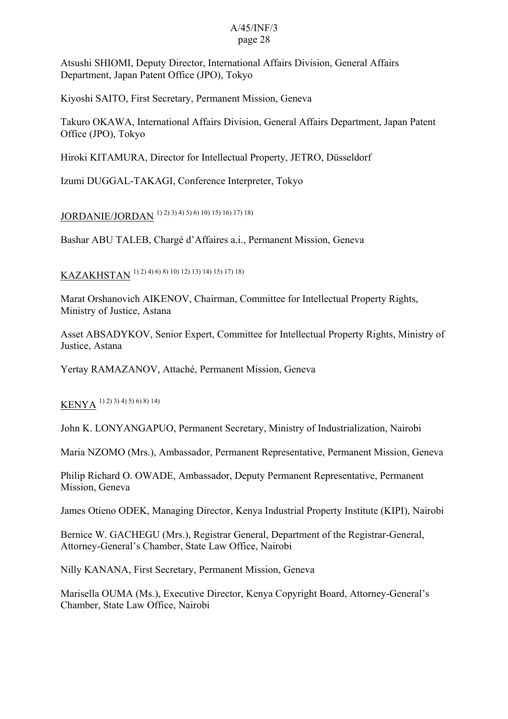Atsushi SHIOMI, Deputy Director, International Affairs Division, General Affairs Department, Japan Patent Office (JPO), Tokyo

Kiyoshi SAITO, First Secretary, Permanent Mission, Geneva

Takuro OKAWA, International Affairs Division, General Affairs Department, Japan Patent Office (JPO), Tokyo

Hiroki KITAMURA, Director for Intellectual Property, JETRO, Düsseldorf

Izumi DUGGAL-TAKAGI, Conference Interpreter, Tokyo

JORDANIE/JORDAN 1) 2) 3) 4) 5) 6) 10) 15) 16) 17) 18)

Bashar ABU TALEB, Chargé d'Affaires a.i., Permanent Mission, Geneva

KAZAKHSTAN 1) 2) 4) 6) 8) 10) 12) 13) 14) 15) 17) 18)

Marat Orshanovich AIKENOV, Chairman, Committee for Intellectual Property Rights, Ministry of Justice, Astana

Asset ABSADYKOV, Senior Expert, Committee for Intellectual Property Rights, Ministry of Justice, Astana

Yertay RAMAZANOV, Attaché, Permanent Mission, Geneva

KENYA 1) 2) 3) 4) 5) 6) 8) 14)

John K. LONYANGAPUO, Permanent Secretary, Ministry of Industrialization, Nairobi

Maria NZOMO (Mrs.), Ambassador, Permanent Representative, Permanent Mission, Geneva

Philip Richard O. OWADE, Ambassador, Deputy Permanent Representative, Permanent Mission, Geneva

James Otieno ODEK, Managing Director, Kenya Industrial Property Institute (KIPI), Nairobi

Bernice W. GACHEGU (Mrs.), Registrar General, Department of the Registrar-General, Attorney-General's Chamber, State Law Office, Nairobi

Nilly KANANA, First Secretary, Permanent Mission, Geneva

Marisella OUMA (Ms.), Executive Director, Kenya Copyright Board, Attorney-General's Chamber, State Law Office, Nairobi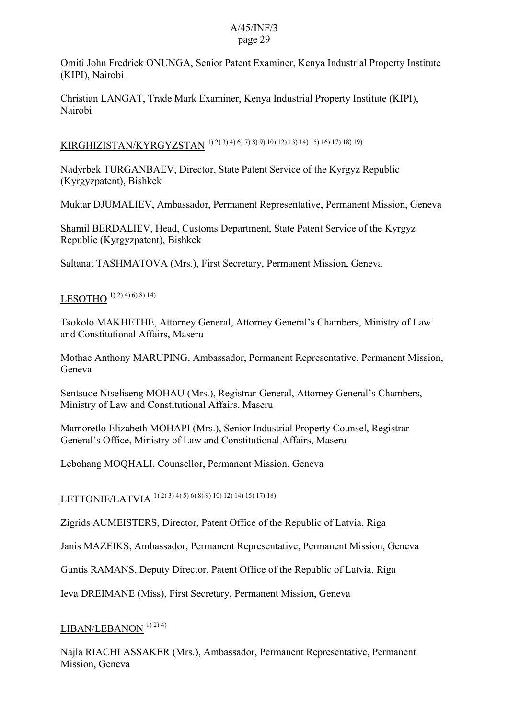Omiti John Fredrick ONUNGA, Senior Patent Examiner, Kenya Industrial Property Institute (KIPI), Nairobi

Christian LANGAT, Trade Mark Examiner, Kenya Industrial Property Institute (KIPI), Nairobi

# KIRGHIZISTAN/KYRGYZSTAN 1) 2) 3) 4) 6) 7) 8) 9) 10) 12) 13) 14) 15) 16) 17) 18) 19)

Nadyrbek TURGANBAEV, Director, State Patent Service of the Kyrgyz Republic (Kyrgyzpatent), Bishkek

Muktar DJUMALIEV, Ambassador, Permanent Representative, Permanent Mission, Geneva

Shamil BERDALIEV, Head, Customs Department, State Patent Service of the Kyrgyz Republic (Kyrgyzpatent), Bishkek

Saltanat TASHMATOVA (Mrs.), First Secretary, Permanent Mission, Geneva

## LESOTHO  $(1)$  2) 4) 6) 8) 14)

Tsokolo MAKHETHE, Attorney General, Attorney General's Chambers, Ministry of Law and Constitutional Affairs, Maseru

Mothae Anthony MARUPING, Ambassador, Permanent Representative, Permanent Mission, Geneva

Sentsuoe Ntseliseng MOHAU (Mrs.), Registrar-General, Attorney General's Chambers, Ministry of Law and Constitutional Affairs, Maseru

Mamoretlo Elizabeth MOHAPI (Mrs.), Senior Industrial Property Counsel, Registrar General's Office, Ministry of Law and Constitutional Affairs, Maseru

Lebohang MOQHALI, Counsellor, Permanent Mission, Geneva

LETTONIE/LATVIA 1) 2) 3) 4) 5) 6) 8) 9) 10) 12) 14) 15) 17) 18)

Zigrids AUMEISTERS, Director, Patent Office of the Republic of Latvia, Riga

Janis MAZEIKS, Ambassador, Permanent Representative, Permanent Mission, Geneva

Guntis RAMANS, Deputy Director, Patent Office of the Republic of Latvia, Riga

Ieva DREIMANE (Miss), First Secretary, Permanent Mission, Geneva

## $LIBAN/LEBANON$ <sup> $1)$ </sup><sup>2)</sup><sup>4)</sup>

Najla RIACHI ASSAKER (Mrs.), Ambassador, Permanent Representative, Permanent Mission, Geneva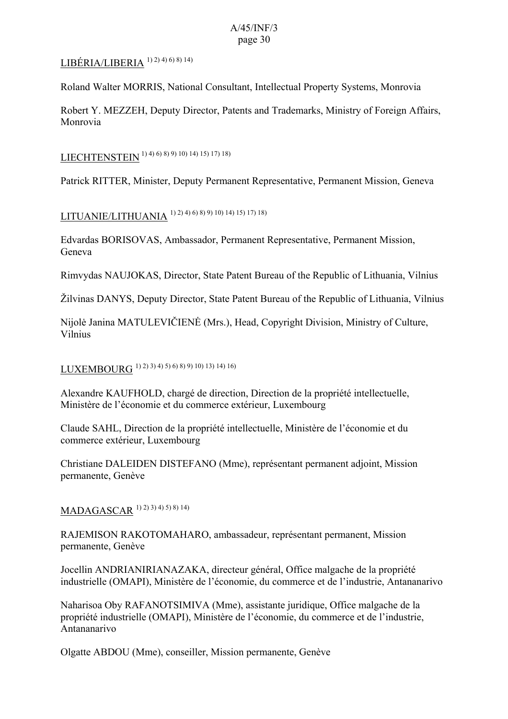## LIBÉRIA/LIBERIA  $1)$  2)  $4)$  6)  $8)$  14)

Roland Walter MORRIS, National Consultant, Intellectual Property Systems, Monrovia

Robert Y. MEZZEH, Deputy Director, Patents and Trademarks, Ministry of Foreign Affairs, Monrovia

LIECHTENSTEIN 1) 4) 6) 8) 9) 10) 14) 15) 17) 18)

Patrick RITTER, Minister, Deputy Permanent Representative, Permanent Mission, Geneva

LITUANIE/LITHUANIA 1) 2) 4) 6) 8) 9) 10) 14) 15) 17) 18)

Edvardas BORISOVAS, Ambassador, Permanent Representative, Permanent Mission, Geneva

Rimvydas NAUJOKAS, Director, State Patent Bureau of the Republic of Lithuania, Vilnius

Žilvinas DANYS, Deputy Director, State Patent Bureau of the Republic of Lithuania, Vilnius

Nijolė Janina MATULEVIČIENĖ (Mrs.), Head, Copyright Division, Ministry of Culture, Vilnius

LUXEMBOURG 1) 2) 3) 4) 5) 6) 8) 9) 10) 13) 14) 16)

Alexandre KAUFHOLD, chargé de direction, Direction de la propriété intellectuelle, Ministère de l'économie et du commerce extérieur, Luxembourg

Claude SAHL, Direction de la propriété intellectuelle, Ministère de l'économie et du commerce extérieur, Luxembourg

Christiane DALEIDEN DISTEFANO (Mme), représentant permanent adjoint, Mission permanente, Genève

## MADAGASCAR 1) 2) 3) 4) 5) 8) 14)

RAJEMISON RAKOTOMAHARO, ambassadeur, représentant permanent, Mission permanente, Genève

Jocellin ANDRIANIRIANAZAKA, directeur général, Office malgache de la propriété industrielle (OMAPI), Ministère de l'économie, du commerce et de l'industrie, Antananarivo

Naharisoa Oby RAFANOTSIMIVA (Mme), assistante juridique, Office malgache de la propriété industrielle (OMAPI), Ministère de l'économie, du commerce et de l'industrie, Antananarivo

Olgatte ABDOU (Mme), conseiller, Mission permanente, Genève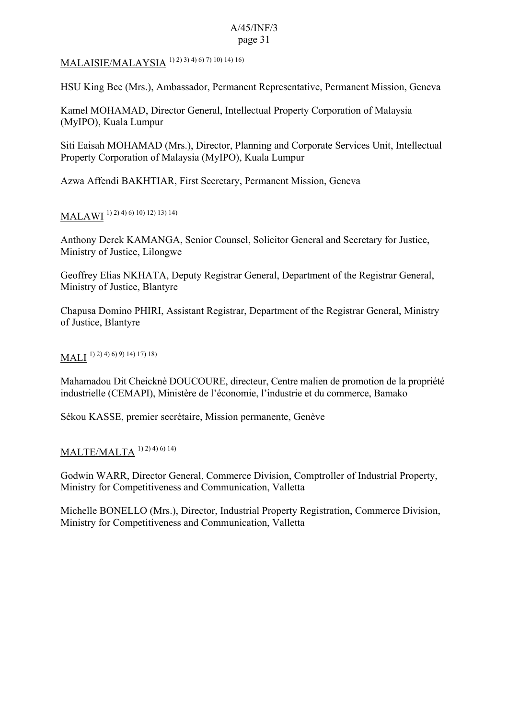MALAISIE/MALAYSIA 1) 2) 3) 4) 6) 7) 10) 14) 16)

HSU King Bee (Mrs.), Ambassador, Permanent Representative, Permanent Mission, Geneva

Kamel MOHAMAD, Director General, Intellectual Property Corporation of Malaysia (MyIPO), Kuala Lumpur

Siti Eaisah MOHAMAD (Mrs.), Director, Planning and Corporate Services Unit, Intellectual Property Corporation of Malaysia (MyIPO), Kuala Lumpur

Azwa Affendi BAKHTIAR, First Secretary, Permanent Mission, Geneva

MALAWI 1) 2) 4) 6) 10) 12) 13) 14)

Anthony Derek KAMANGA, Senior Counsel, Solicitor General and Secretary for Justice, Ministry of Justice, Lilongwe

Geoffrey Elias NKHATA, Deputy Registrar General, Department of the Registrar General, Ministry of Justice, Blantyre

Chapusa Domino PHIRI, Assistant Registrar, Department of the Registrar General, Ministry of Justice, Blantyre

## MALI 1) 2) 4) 6) 9) 14) 17) 18)

Mahamadou Dit Cheicknè DOUCOURE, directeur, Centre malien de promotion de la propriété industrielle (CEMAPI), Ministère de l'économie, l'industrie et du commerce, Bamako

Sékou KASSE, premier secrétaire, Mission permanente, Genève

#### MALTE/MALTA  $^{1) 2) 4) 6) 14)$

Godwin WARR, Director General, Commerce Division, Comptroller of Industrial Property, Ministry for Competitiveness and Communication, Valletta

Michelle BONELLO (Mrs.), Director, Industrial Property Registration, Commerce Division, Ministry for Competitiveness and Communication, Valletta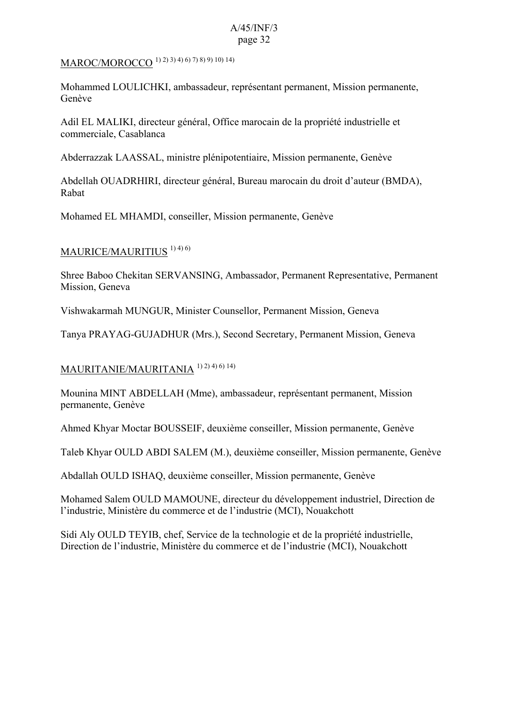MAROC/MOROCCO 1) 2) 3) 4) 6) 7) 8) 9) 10) 14)

Mohammed LOULICHKI, ambassadeur, représentant permanent, Mission permanente, Genève

Adil EL MALIKI, directeur général, Office marocain de la propriété industrielle et commerciale, Casablanca

Abderrazzak LAASSAL, ministre plénipotentiaire, Mission permanente, Genève

Abdellah OUADRHIRI, directeur général, Bureau marocain du droit d'auteur (BMDA), Rabat

Mohamed EL MHAMDI, conseiller, Mission permanente, Genève

### MAURICE/MAURITIUS<sup>1)4)6)</sup>

Shree Baboo Chekitan SERVANSING, Ambassador, Permanent Representative, Permanent Mission, Geneva

Vishwakarmah MUNGUR, Minister Counsellor, Permanent Mission, Geneva

Tanya PRAYAG-GUJADHUR (Mrs.), Second Secretary, Permanent Mission, Geneva

## MAURITANIE/MAURITANIA 1) 2) 4) 6) 14)

Mounina MINT ABDELLAH (Mme), ambassadeur, représentant permanent, Mission permanente, Genève

Ahmed Khyar Moctar BOUSSEIF, deuxième conseiller, Mission permanente, Genève

Taleb Khyar OULD ABDI SALEM (M.), deuxième conseiller, Mission permanente, Genève

Abdallah OULD ISHAQ, deuxième conseiller, Mission permanente, Genève

Mohamed Salem OULD MAMOUNE, directeur du développement industriel, Direction de l'industrie, Ministère du commerce et de l'industrie (MCI), Nouakchott

Sidi Aly OULD TEYIB, chef, Service de la technologie et de la propriété industrielle, Direction de l'industrie, Ministère du commerce et de l'industrie (MCI), Nouakchott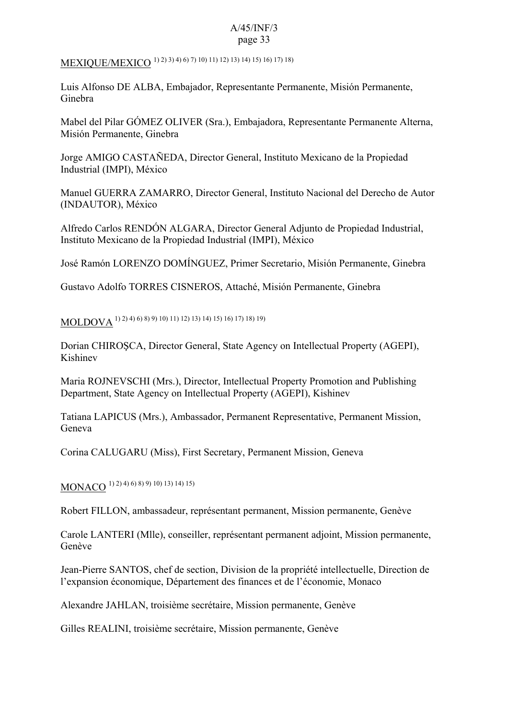MEXIQUE/MEXICO 1) 2) 3) 4) 6) 7) 10) 11) 12) 13) 14) 15) 16) 17) 18)

Luis Alfonso DE ALBA, Embajador, Representante Permanente, Misión Permanente, Ginebra

Mabel del Pilar GÓMEZ OLIVER (Sra.), Embajadora, Representante Permanente Alterna, Misión Permanente, Ginebra

Jorge AMIGO CASTAÑEDA, Director General, Instituto Mexicano de la Propiedad Industrial (IMPI), México

Manuel GUERRA ZAMARRO, Director General, Instituto Nacional del Derecho de Autor (INDAUTOR), México

Alfredo Carlos RENDÓN ALGARA, Director General Adjunto de Propiedad Industrial, Instituto Mexicano de la Propiedad Industrial (IMPI), México

José Ramón LORENZO DOMÍNGUEZ, Primer Secretario, Misión Permanente, Ginebra

Gustavo Adolfo TORRES CISNEROS, Attaché, Misión Permanente, Ginebra

MOLDOVA 1) 2) 4) 6) 8) 9) 10) 11) 12) 13) 14) 15) 16) 17) 18) 19)

Dorian CHIROŞCA, Director General, State Agency on Intellectual Property (AGEPI), Kishinev

Maria ROJNEVSCHI (Mrs.), Director, Intellectual Property Promotion and Publishing Department, State Agency on Intellectual Property (AGEPI), Kishinev

Tatiana LAPICUS (Mrs.), Ambassador, Permanent Representative, Permanent Mission, Geneva

Corina CALUGARU (Miss), First Secretary, Permanent Mission, Geneva

MONACO 1) 2) 4) 6) 8) 9) 10) 13) 14) 15)

Robert FILLON, ambassadeur, représentant permanent, Mission permanente, Genève

Carole LANTERI (Mlle), conseiller, représentant permanent adjoint, Mission permanente, Genève

Jean-Pierre SANTOS, chef de section, Division de la propriété intellectuelle, Direction de l'expansion économique, Département des finances et de l'économie, Monaco

Alexandre JAHLAN, troisième secrétaire, Mission permanente, Genève

Gilles REALINI, troisième secrétaire, Mission permanente, Genève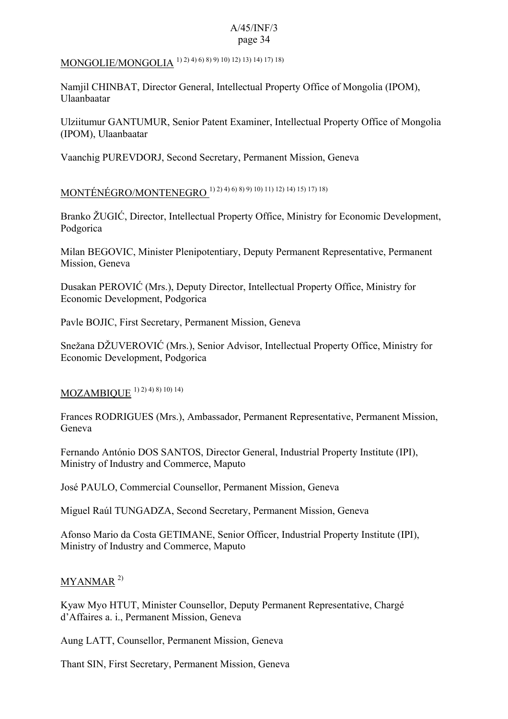## MONGOLIE/MONGOLIA 1) 2) 4) 6) 8) 9) 10) 12) 13) 14) 17) 18)

Namjil CHINBAT, Director General, Intellectual Property Office of Mongolia (IPOM), Ulaanbaatar

Ulziitumur GANTUMUR, Senior Patent Examiner, Intellectual Property Office of Mongolia (IPOM), Ulaanbaatar

Vaanchig PUREVDORJ, Second Secretary, Permanent Mission, Geneva

## MONTÉNÉGRO/MONTENEGRO 1) 2) 4) 6) 8) 9) 10) 11) 12) 14) 15) 17) 18)

Branko ŽUGIĆ, Director, Intellectual Property Office, Ministry for Economic Development, Podgorica

Milan BEGOVIC, Minister Plenipotentiary, Deputy Permanent Representative, Permanent Mission, Geneva

Dusakan PEROVIĆ (Mrs.), Deputy Director, Intellectual Property Office, Ministry for Economic Development, Podgorica

Pavle BOJIC, First Secretary, Permanent Mission, Geneva

Snežana DŽUVEROVIĆ (Mrs.), Senior Advisor, Intellectual Property Office, Ministry for Economic Development, Podgorica

#### MOZAMBIOUE  $(1)$   $(2)$   $(4)$   $(8)$   $(10)$   $(14)$

Frances RODRIGUES (Mrs.), Ambassador, Permanent Representative, Permanent Mission, Geneva

Fernando António DOS SANTOS, Director General, Industrial Property Institute (IPI), Ministry of Industry and Commerce, Maputo

José PAULO, Commercial Counsellor, Permanent Mission, Geneva

Miguel Raúl TUNGADZA, Second Secretary, Permanent Mission, Geneva

Afonso Mario da Costa GETIMANE, Senior Officer, Industrial Property Institute (IPI), Ministry of Industry and Commerce, Maputo

## MYANMAR<sup>2)</sup>

Kyaw Myo HTUT, Minister Counsellor, Deputy Permanent Representative, Chargé d'Affaires a. i., Permanent Mission, Geneva

Aung LATT, Counsellor, Permanent Mission, Geneva

Thant SIN, First Secretary, Permanent Mission, Geneva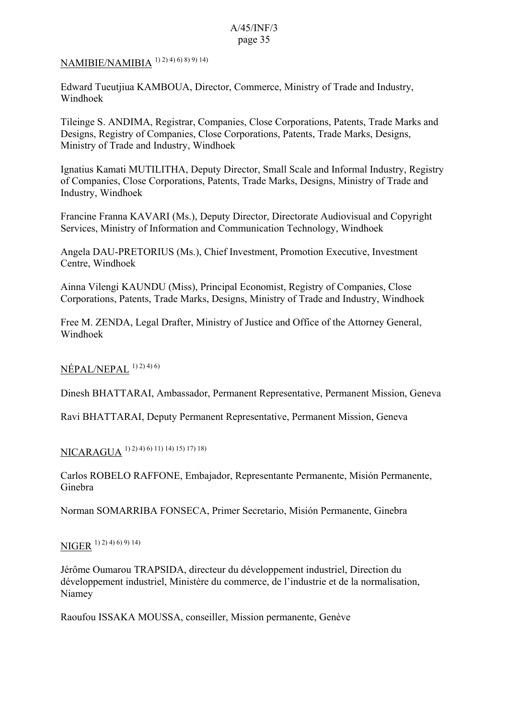## NAMIBIE/NAMIBIA 1) 2) 4) 6) 8) 9) 14)

Edward Tueutjiua KAMBOUA, Director, Commerce, Ministry of Trade and Industry, Windhoek

Tileinge S. ANDIMA, Registrar, Companies, Close Corporations, Patents, Trade Marks and Designs, Registry of Companies, Close Corporations, Patents, Trade Marks, Designs, Ministry of Trade and Industry, Windhoek

Ignatius Kamati MUTILITHA, Deputy Director, Small Scale and Informal Industry, Registry of Companies, Close Corporations, Patents, Trade Marks, Designs, Ministry of Trade and Industry, Windhoek

Francine Franna KAVARI (Ms.), Deputy Director, Directorate Audiovisual and Copyright Services, Ministry of Information and Communication Technology, Windhoek

Angela DAU-PRETORIUS (Ms.), Chief Investment, Promotion Executive, Investment Centre, Windhoek

Ainna Vilengi KAUNDU (Miss), Principal Economist, Registry of Companies, Close Corporations, Patents, Trade Marks, Designs, Ministry of Trade and Industry, Windhoek

Free M. ZENDA, Legal Drafter, Ministry of Justice and Office of the Attorney General, Windhoek

### $NÉPAL/NEPAL$ <sup>1) 2) 4) 6)</sup>

Dinesh BHATTARAI, Ambassador, Permanent Representative, Permanent Mission, Geneva

Ravi BHATTARAI, Deputy Permanent Representative, Permanent Mission, Geneva

NICARAGUA 1) 2) 4) 6) 11) 14) 15) 17) 18)

Carlos ROBELO RAFFONE, Embajador, Representante Permanente, Misión Permanente, Ginebra

Norman SOMARRIBA FONSECA, Primer Secretario, Misión Permanente, Ginebra

## NIGER 1) 2) 4) 6) 9) 14)

Jérôme Oumarou TRAPSIDA, directeur du développement industriel, Direction du développement industriel, Ministère du commerce, de l'industrie et de la normalisation, Niamey

Raoufou ISSAKA MOUSSA, conseiller, Mission permanente, Genève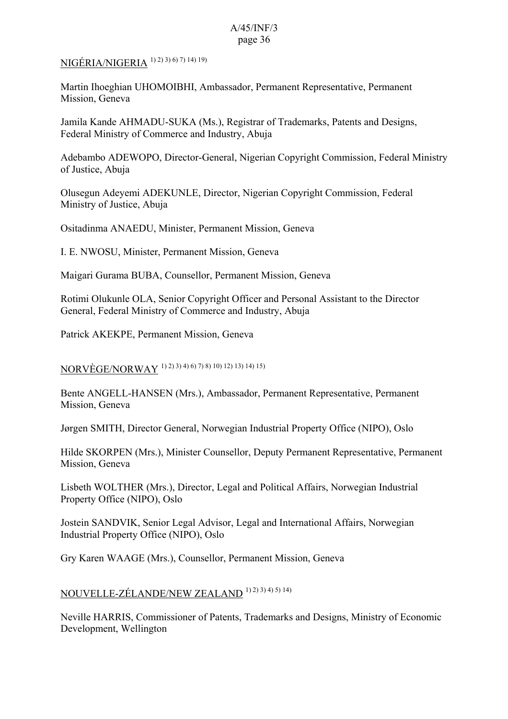## NIGÉRIA/NIGERIA 1) 2) 3) 6) 7) 14) 19)

Martin Ihoeghian UHOMOIBHI, Ambassador, Permanent Representative, Permanent Mission, Geneva

Jamila Kande AHMADU-SUKA (Ms.), Registrar of Trademarks, Patents and Designs, Federal Ministry of Commerce and Industry, Abuja

Adebambo ADEWOPO, Director-General, Nigerian Copyright Commission, Federal Ministry of Justice, Abuja

Olusegun Adeyemi ADEKUNLE, Director, Nigerian Copyright Commission, Federal Ministry of Justice, Abuja

Ositadinma ANAEDU, Minister, Permanent Mission, Geneva

I. E. NWOSU, Minister, Permanent Mission, Geneva

Maigari Gurama BUBA, Counsellor, Permanent Mission, Geneva

Rotimi Olukunle OLA, Senior Copyright Officer and Personal Assistant to the Director General, Federal Ministry of Commerce and Industry, Abuja

Patrick AKEKPE, Permanent Mission, Geneva

NORVÈGE/NORWAY 1) 2) 3) 4) 6) 7) 8) 10) 12) 13) 14) 15)

Bente ANGELL-HANSEN (Mrs.), Ambassador, Permanent Representative, Permanent Mission, Geneva

Jørgen SMITH, Director General, Norwegian Industrial Property Office (NIPO), Oslo

Hilde SKORPEN (Mrs.), Minister Counsellor, Deputy Permanent Representative, Permanent Mission, Geneva

Lisbeth WOLTHER (Mrs.), Director, Legal and Political Affairs, Norwegian Industrial Property Office (NIPO), Oslo

Jostein SANDVIK, Senior Legal Advisor, Legal and International Affairs, Norwegian Industrial Property Office (NIPO), Oslo

Gry Karen WAAGE (Mrs.), Counsellor, Permanent Mission, Geneva

NOUVELLE-ZÉLANDE/NEW ZEALAND 1) 2) 3) 4) 5) 14)

Neville HARRIS, Commissioner of Patents, Trademarks and Designs, Ministry of Economic Development, Wellington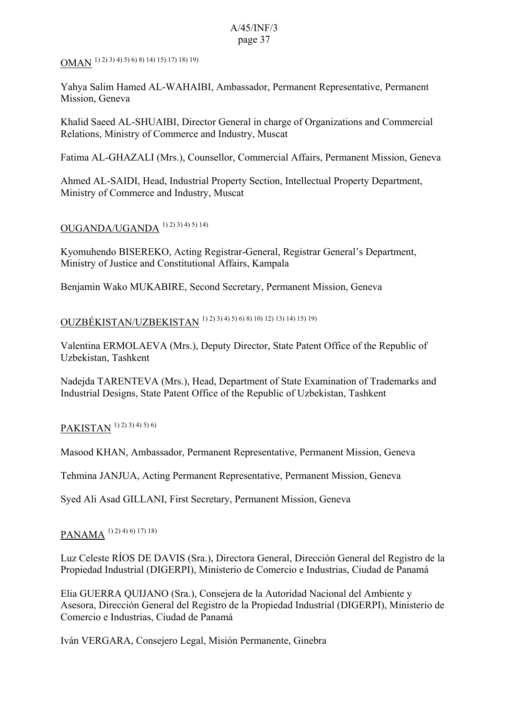## OMAN 1) 2) 3) 4) 5) 6) 8) 14) 15) 17) 18) 19)

Yahya Salim Hamed AL-WAHAIBI, Ambassador, Permanent Representative, Permanent Mission, Geneva

Khalid Saeed AL-SHUAIBI, Director General in charge of Organizations and Commercial Relations, Ministry of Commerce and Industry, Muscat

Fatima AL-GHAZALI (Mrs.), Counsellor, Commercial Affairs, Permanent Mission, Geneva

Ahmed AL-SAIDI, Head, Industrial Property Section, Intellectual Property Department, Ministry of Commerce and Industry, Muscat

## OUGANDA/UGANDA 1) 2) 3) 4) 5) 14)

Kyomuhendo BISEREKO, Acting Registrar-General, Registrar General's Department, Ministry of Justice and Constitutional Affairs, Kampala

Benjamin Wako MUKABIRE, Second Secretary, Permanent Mission, Geneva

# OUZBÉKISTAN/UZBEKISTAN 1) 2) 3) 4) 5) 6) 8) 10) 12) 13) 14) 15) 19)

Valentina ERMOLAEVA (Mrs.), Deputy Director, State Patent Office of the Republic of Uzbekistan, Tashkent

Nadejda TARENTEVA (Mrs.), Head, Department of State Examination of Trademarks and Industrial Designs, State Patent Office of the Republic of Uzbekistan, Tashkent

## PAKISTAN <sup>1) 2) 3) 4) 5) 6)</sup>

Masood KHAN, Ambassador, Permanent Representative, Permanent Mission, Geneva

Tehmina JANJUA, Acting Permanent Representative, Permanent Mission, Geneva

Syed Ali Asad GILLANI, First Secretary, Permanent Mission, Geneva

## PANAMA<sup>1) 2) 4) 6) 17) 18)</sup>

Luz Celeste RÍOS DE DAVIS (Sra.), Directora General, Dirección General del Registro de la Propiedad Industrial (DIGERPI), Ministerio de Comercio e Industrias, Ciudad de Panamá

Elia GUERRA QUIJANO (Sra.), Consejera de la Autoridad Nacional del Ambiente y Asesora, Dirección General del Registro de la Propiedad Industrial (DIGERPI), Ministerio de Comercio e Industrias, Ciudad de Panamá

Iván VERGARA, Consejero Legal, Misión Permanente, Ginebra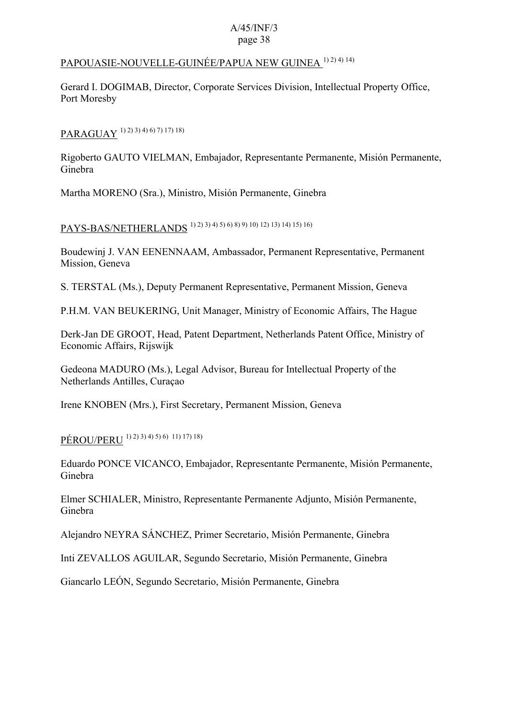## PAPOUASIE-NOUVELLE-GUINÉE/PAPUA NEW GUINEA<sup>1)2)4)14)</sup>

Gerard I. DOGIMAB, Director, Corporate Services Division, Intellectual Property Office, Port Moresby

PARAGUAY 1) 2) 3) 4) 6) 7) 17) 18)

Rigoberto GAUTO VIELMAN, Embajador, Representante Permanente, Misión Permanente, Ginebra

Martha MORENO (Sra.), Ministro, Misión Permanente, Ginebra

PAYS-BAS/NETHERLANDS 1) 2) 3) 4) 5) 6) 8) 9) 10) 12) 13) 14) 15) 16)

Boudewinj J. VAN EENENNAAM, Ambassador, Permanent Representative, Permanent Mission, Geneva

S. TERSTAL (Ms.), Deputy Permanent Representative, Permanent Mission, Geneva

P.H.M. VAN BEUKERING, Unit Manager, Ministry of Economic Affairs, The Hague

Derk-Jan DE GROOT, Head, Patent Department, Netherlands Patent Office, Ministry of Economic Affairs, Rijswijk

Gedeona MADURO (Ms.), Legal Advisor, Bureau for Intellectual Property of the Netherlands Antilles, Curaçao

Irene KNOBEN (Mrs.), First Secretary, Permanent Mission, Geneva

PÉROU/PERU 1) 2) 3) 4) 5) 6) 11) 17) 18)

Eduardo PONCE VICANCO, Embajador, Representante Permanente, Misión Permanente, Ginebra

Elmer SCHIALER, Ministro, Representante Permanente Adjunto, Misión Permanente, Ginebra

Alejandro NEYRA SÁNCHEZ, Primer Secretario, Misión Permanente, Ginebra

Inti ZEVALLOS AGUILAR, Segundo Secretario, Misión Permanente, Ginebra

Giancarlo LEÓN, Segundo Secretario, Misión Permanente, Ginebra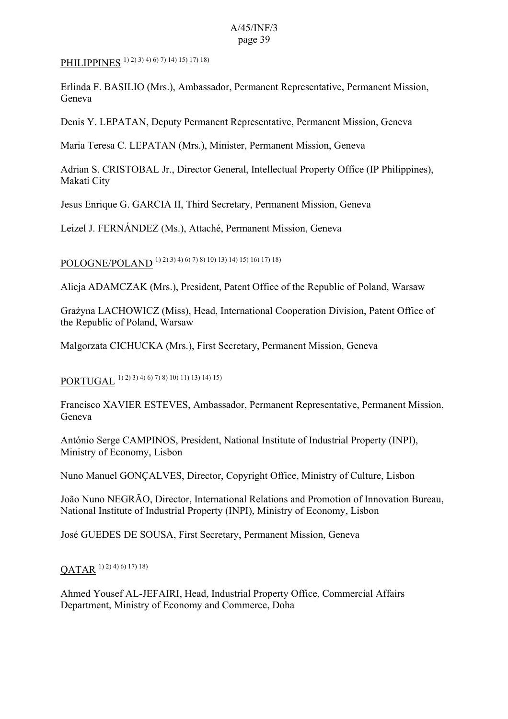PHILIPPINES<sup>1)</sup><sup>2</sup>)<sup>3</sup>)<sup>4</sup>)<sup>6</sup>)<sup>7</sup>)<sup>14</sup>)<sup>15</sup>)<sup>17</sup>)<sup>18</sup>)

Erlinda F. BASILIO (Mrs.), Ambassador, Permanent Representative, Permanent Mission, Geneva

Denis Y. LEPATAN, Deputy Permanent Representative, Permanent Mission, Geneva

Maria Teresa C. LEPATAN (Mrs.), Minister, Permanent Mission, Geneva

Adrian S. CRISTOBAL Jr., Director General, Intellectual Property Office (IP Philippines), Makati City

Jesus Enrique G. GARCIA II, Third Secretary, Permanent Mission, Geneva

Leizel J. FERNÁNDEZ (Ms.), Attaché, Permanent Mission, Geneva

POLOGNE/POLAND 1) 2) 3) 4) 6) 7) 8) 10) 13) 14) 15) 16) 17) 18)

Alicja ADAMCZAK (Mrs.), President, Patent Office of the Republic of Poland, Warsaw

Grażyna LACHOWICZ (Miss), Head, International Cooperation Division, Patent Office of the Republic of Poland, Warsaw

Malgorzata CICHUCKA (Mrs.), First Secretary, Permanent Mission, Geneva

PORTUGAL 1) 2) 3) 4) 6) 7) 8) 10) 11) 13) 14) 15)

Francisco XAVIER ESTEVES, Ambassador, Permanent Representative, Permanent Mission, Geneva

António Serge CAMPINOS, President, National Institute of Industrial Property (INPI), Ministry of Economy, Lisbon

Nuno Manuel GONÇALVES, Director, Copyright Office, Ministry of Culture, Lisbon

João Nuno NEGRÃO, Director, International Relations and Promotion of Innovation Bureau, National Institute of Industrial Property (INPI), Ministry of Economy, Lisbon

José GUEDES DE SOUSA, First Secretary, Permanent Mission, Geneva

 $QATAR$ <sup>1) 2) 4) 6) 17) 18)</sup>

Ahmed Yousef AL-JEFAIRI, Head, Industrial Property Office, Commercial Affairs Department, Ministry of Economy and Commerce, Doha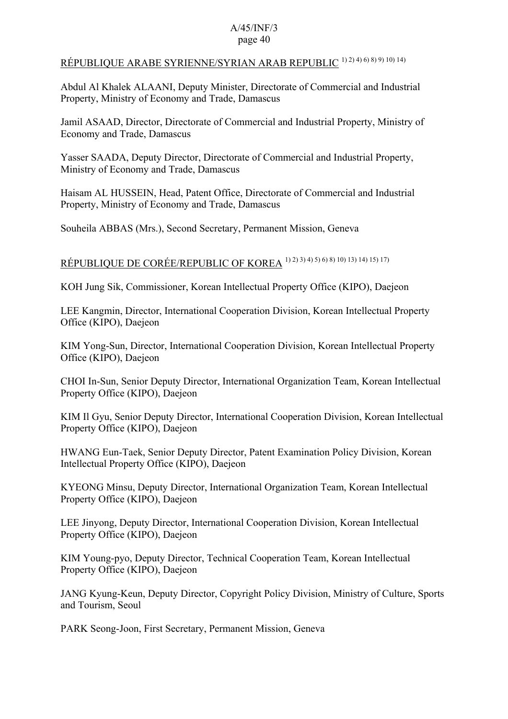## RÉPUBLIQUE ARABE SYRIENNE/SYRIAN ARAB REPUBLIC 1) 2) 4) 6) 8) 9) 10) 14)

Abdul Al Khalek ALAANI, Deputy Minister, Directorate of Commercial and Industrial Property, Ministry of Economy and Trade, Damascus

Jamil ASAAD, Director, Directorate of Commercial and Industrial Property, Ministry of Economy and Trade, Damascus

Yasser SAADA, Deputy Director, Directorate of Commercial and Industrial Property, Ministry of Economy and Trade, Damascus

Haisam AL HUSSEIN, Head, Patent Office, Directorate of Commercial and Industrial Property, Ministry of Economy and Trade, Damascus

Souheila ABBAS (Mrs.), Second Secretary, Permanent Mission, Geneva

# RÉPUBLIQUE DE CORÉE/REPUBLIC OF KOREA 1) 2) 3) 4) 5) 6) 8) 10) 13) 14) 15) 17)

KOH Jung Sik, Commissioner, Korean Intellectual Property Office (KIPO), Daejeon

LEE Kangmin, Director, International Cooperation Division, Korean Intellectual Property Office (KIPO), Daejeon

KIM Yong-Sun, Director, International Cooperation Division, Korean Intellectual Property Office (KIPO), Daejeon

CHOI In-Sun, Senior Deputy Director, International Organization Team, Korean Intellectual Property Office (KIPO), Daejeon

KIM Il Gyu, Senior Deputy Director, International Cooperation Division, Korean Intellectual Property Office (KIPO), Daejeon

HWANG Eun-Taek, Senior Deputy Director, Patent Examination Policy Division, Korean Intellectual Property Office (KIPO), Daejeon

KYEONG Minsu, Deputy Director, International Organization Team, Korean Intellectual Property Office (KIPO), Daejeon

LEE Jinyong, Deputy Director, International Cooperation Division, Korean Intellectual Property Office (KIPO), Daejeon

KIM Young-pyo, Deputy Director, Technical Cooperation Team, Korean Intellectual Property Office (KIPO), Daejeon

JANG Kyung-Keun, Deputy Director, Copyright Policy Division, Ministry of Culture, Sports and Tourism, Seoul

PARK Seong-Joon, First Secretary, Permanent Mission, Geneva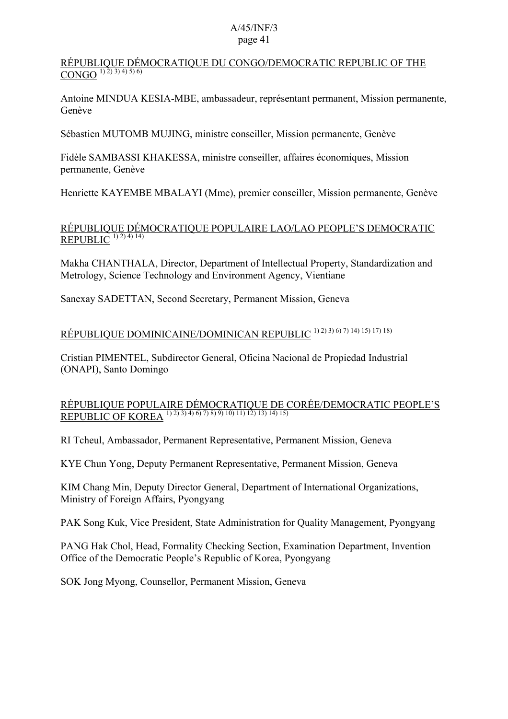### RÉPUBLIQUE DÉMOCRATIQUE DU CONGO/DEMOCRATIC REPUBLIC OF THE  $\overline{\text{CONGO}^{1(2)(3)(4)(5)(6)}}$

Antoine MINDUA KESIA-MBE, ambassadeur, représentant permanent, Mission permanente, Genève

Sébastien MUTOMB MUJING, ministre conseiller, Mission permanente, Genève

Fidèle SAMBASSI KHAKESSA, ministre conseiller, affaires économiques, Mission permanente, Genève

Henriette KAYEMBE MBALAYI (Mme), premier conseiller, Mission permanente, Genève

### RÉPUBLIQUE DÉMOCRATIQUE POPULAIRE LAO/LAO PEOPLE'S DEMOCRATIC REPUBLIC  $(1)$  2) 4) 14)

Makha CHANTHALA, Director, Department of Intellectual Property, Standardization and Metrology, Science Technology and Environment Agency, Vientiane

Sanexay SADETTAN, Second Secretary, Permanent Mission, Geneva

## RÉPUBLIQUE DOMINICAINE/DOMINICAN REPUBLIC 1) 2) 3) 6) 7) 14) 15) 17) 18)

Cristian PIMENTEL, Subdirector General, Oficina Nacional de Propiedad Industrial (ONAPI), Santo Domingo

## RÉPUBLIQUE POPULAIRE DÉMOCRATIQUE DE CORÉE/DEMOCRATIC PEOPLE'S REPUBLIC OF KOREA <sup>1) 2) 3) 4) 6) 7) 8) 9) 10) 11) 12) 13) 14) 15)</sup>

RI Tcheul, Ambassador, Permanent Representative, Permanent Mission, Geneva

KYE Chun Yong, Deputy Permanent Representative, Permanent Mission, Geneva

KIM Chang Min, Deputy Director General, Department of International Organizations, Ministry of Foreign Affairs, Pyongyang

PAK Song Kuk, Vice President, State Administration for Quality Management, Pyongyang

PANG Hak Chol, Head, Formality Checking Section, Examination Department, Invention Office of the Democratic People's Republic of Korea, Pyongyang

SOK Jong Myong, Counsellor, Permanent Mission, Geneva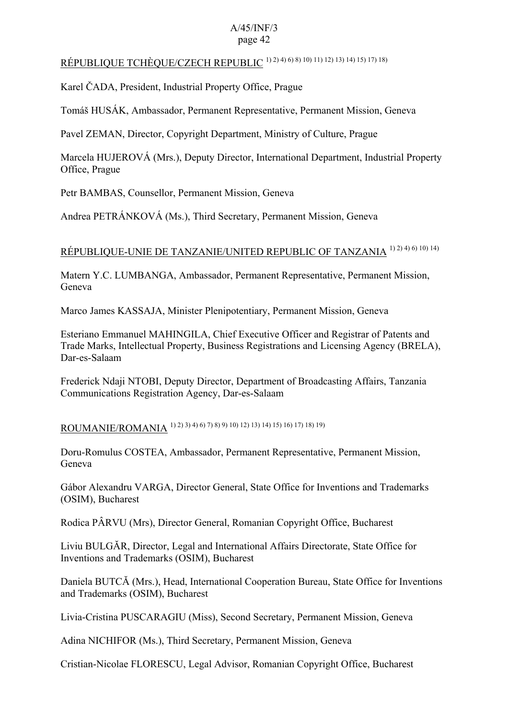## RÉPUBLIQUE TCHÈQUE/CZECH REPUBLIC 1) 2) 4) 6) 8) 10) 11) 12) 13) 14) 15) 17) 18)

Karel ČADA, President, Industrial Property Office, Prague

Tomáš HUSÁK, Ambassador, Permanent Representative, Permanent Mission, Geneva

Pavel ZEMAN, Director, Copyright Department, Ministry of Culture, Prague

Marcela HUJEROVÁ (Mrs.), Deputy Director, International Department, Industrial Property Office, Prague

Petr BAMBAS, Counsellor, Permanent Mission, Geneva

Andrea PETRÁNKOVÁ (Ms.), Third Secretary, Permanent Mission, Geneva

## RÉPUBLIQUE-UNIE DE TANZANIE/UNITED REPUBLIC OF TANZANIA 1) 2) 4) 6) 10) 14)

Matern Y.C. LUMBANGA, Ambassador, Permanent Representative, Permanent Mission, Geneva

Marco James KASSAJA, Minister Plenipotentiary, Permanent Mission, Geneva

Esteriano Emmanuel MAHINGILA, Chief Executive Officer and Registrar of Patents and Trade Marks, Intellectual Property, Business Registrations and Licensing Agency (BRELA), Dar-es-Salaam

Frederick Ndaji NTOBI, Deputy Director, Department of Broadcasting Affairs, Tanzania Communications Registration Agency, Dar-es-Salaam

ROUMANIE/ROMANIA 1) 2) 3) 4) 6) 7) 8) 9) 10) 12) 13) 14) 15) 16) 17) 18) 19)

Doru-Romulus COSTEA, Ambassador, Permanent Representative, Permanent Mission, Geneva

Gábor Alexandru VARGA, Director General, State Office for Inventions and Trademarks (OSIM), Bucharest

Rodica PÂRVU (Mrs), Director General, Romanian Copyright Office, Bucharest

Liviu BULGĂR, Director, Legal and International Affairs Directorate, State Office for Inventions and Trademarks (OSIM), Bucharest

Daniela BUTCĂ (Mrs.), Head, International Cooperation Bureau, State Office for Inventions and Trademarks (OSIM), Bucharest

Livia-Cristina PUSCARAGIU (Miss), Second Secretary, Permanent Mission, Geneva

Adina NICHIFOR (Ms.), Third Secretary, Permanent Mission, Geneva

Cristian-Nicolae FLORESCU, Legal Advisor, Romanian Copyright Office, Bucharest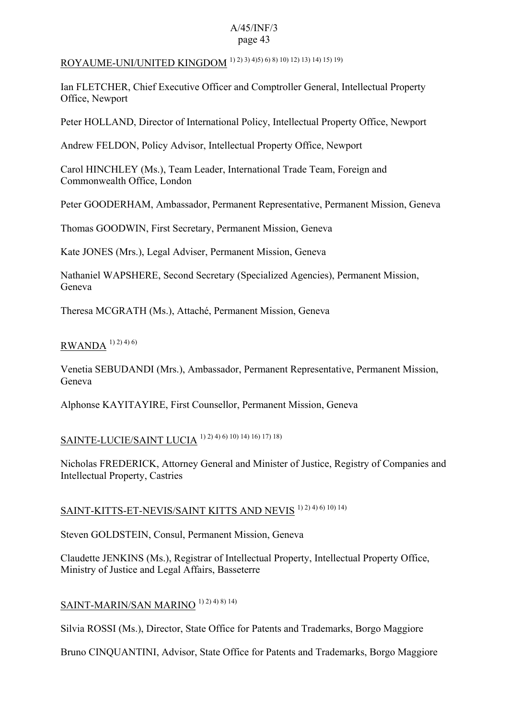# ROYAUME-UNI/UNITED KINGDOM 1) 2) 3) 4)5) 6) 8) 10) 12) 13) 14) 15) 19)

Ian FLETCHER, Chief Executive Officer and Comptroller General, Intellectual Property Office, Newport

Peter HOLLAND, Director of International Policy, Intellectual Property Office, Newport

Andrew FELDON, Policy Advisor, Intellectual Property Office, Newport

Carol HINCHLEY (Ms.), Team Leader, International Trade Team, Foreign and Commonwealth Office, London

Peter GOODERHAM, Ambassador, Permanent Representative, Permanent Mission, Geneva

Thomas GOODWIN, First Secretary, Permanent Mission, Geneva

Kate JONES (Mrs.), Legal Adviser, Permanent Mission, Geneva

Nathaniel WAPSHERE, Second Secretary (Specialized Agencies), Permanent Mission, Geneva

Theresa MCGRATH (Ms.), Attaché, Permanent Mission, Geneva

## $RWANDA^{1(2)}$  4) 6)

Venetia SEBUDANDI (Mrs.), Ambassador, Permanent Representative, Permanent Mission, Geneva

Alphonse KAYITAYIRE, First Counsellor, Permanent Mission, Geneva

# SAINTE-LUCIE/SAINT LUCIA<sup>1) 2) 4</sup>) 6) 10) 14) 16) 17) 18)

Nicholas FREDERICK, Attorney General and Minister of Justice, Registry of Companies and Intellectual Property, Castries

## SAINT-KITTS-ET-NEVIS/SAINT KITTS AND NEVIS<sup>1) 2) 4) 6) 10) 14)</sup>

Steven GOLDSTEIN, Consul, Permanent Mission, Geneva

Claudette JENKINS (Ms.), Registrar of Intellectual Property, Intellectual Property Office, Ministry of Justice and Legal Affairs, Basseterre

## SAINT-MARIN/SAN MARINO<sup>1) 2) 4) 8) 14)</sub></sup>

Silvia ROSSI (Ms.), Director, State Office for Patents and Trademarks, Borgo Maggiore

Bruno CINQUANTINI, Advisor, State Office for Patents and Trademarks, Borgo Maggiore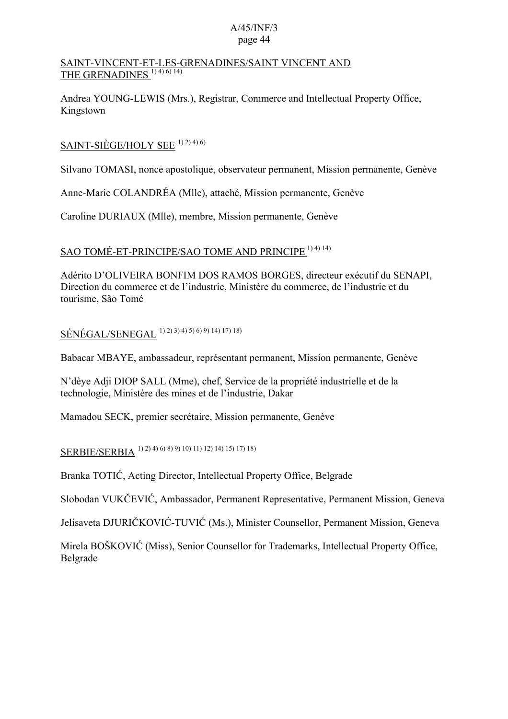### SAINT-VINCENT-ET-LES-GRENADINES/SAINT VINCENT AND THE GRENADINES<sup>1)4)6)14)</sup>

Andrea YOUNG-LEWIS (Mrs.), Registrar, Commerce and Intellectual Property Office, Kingstown

## SAINT-SIÈGE/HOLY SEE  $1)$  2)  $4)$  6)

Silvano TOMASI, nonce apostolique, observateur permanent, Mission permanente, Genève

Anne-Marie COLANDRÉA (Mlle), attaché, Mission permanente, Genève

Caroline DURIAUX (Mlle), membre, Mission permanente, Genève

## SAO TOMÉ-ET-PRINCIPE/SAO TOME AND PRINCIPE 1) 4) 14)

Adérito D'OLIVEIRA BONFIM DOS RAMOS BORGES, directeur exécutif du SENAPI, Direction du commerce et de l'industrie, Ministère du commerce, de l'industrie et du tourisme, São Tomé

SÉNÉGAL/SENEGAL 1) 2) 3) 4) 5) 6) 9) 14) 17) 18)

Babacar MBAYE, ambassadeur, représentant permanent, Mission permanente, Genève

N'dèye Adji DIOP SALL (Mme), chef, Service de la propriété industrielle et de la technologie, Ministère des mines et de l'industrie, Dakar

Mamadou SECK, premier secrétaire, Mission permanente, Genève

## SERBIE/SERBIA 1) 2) 4) 6) 8) 9) 10) 11) 12) 14) 15) 17) 18)

Branka TOTIĆ, Acting Director, Intellectual Property Office, Belgrade

Slobodan VUKČEVIĆ, Ambassador, Permanent Representative, Permanent Mission, Geneva

Jelisaveta DJURIČKOVIĆ-TUVIĆ (Ms.), Minister Counsellor, Permanent Mission, Geneva

Mirela BOŠKOVIĆ (Miss), Senior Counsellor for Trademarks, Intellectual Property Office, Belgrade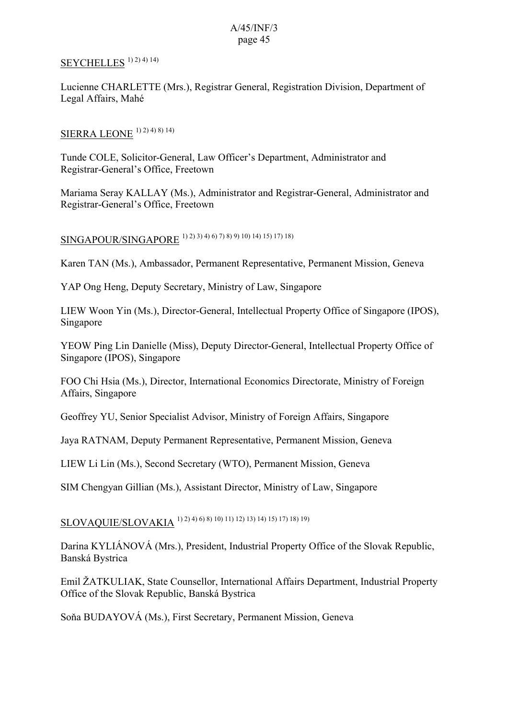## SEYCHELLES<sup>1) 2) 4) 14)</sup>

Lucienne CHARLETTE (Mrs.), Registrar General, Registration Division, Department of Legal Affairs, Mahé

## SIERRA LEONE 1) 2) 4) 8) 14)

Tunde COLE, Solicitor-General, Law Officer's Department, Administrator and Registrar-General's Office, Freetown

Mariama Seray KALLAY (Ms.), Administrator and Registrar-General, Administrator and Registrar-General's Office, Freetown

## SINGAPOUR/SINGAPORE 1) 2) 3) 4) 6) 7) 8) 9) 10) 14) 15) 17) 18)

Karen TAN (Ms.), Ambassador, Permanent Representative, Permanent Mission, Geneva

YAP Ong Heng, Deputy Secretary, Ministry of Law, Singapore

LIEW Woon Yin (Ms.), Director-General, Intellectual Property Office of Singapore (IPOS), Singapore

YEOW Ping Lin Danielle (Miss), Deputy Director-General, Intellectual Property Office of Singapore (IPOS), Singapore

FOO Chi Hsia (Ms.), Director, International Economics Directorate, Ministry of Foreign Affairs, Singapore

Geoffrey YU, Senior Specialist Advisor, Ministry of Foreign Affairs, Singapore

Jaya RATNAM, Deputy Permanent Representative, Permanent Mission, Geneva

LIEW Li Lin (Ms.), Second Secretary (WTO), Permanent Mission, Geneva

SIM Chengyan Gillian (Ms.), Assistant Director, Ministry of Law, Singapore

# SLOVAQUIE/SLOVAKIA 1) 2) 4) 6) 8) 10) 11) 12) 13) 14) 15) 17) 18) 19)

Darina KYLIÁNOVÁ (Mrs.), President, Industrial Property Office of the Slovak Republic, Banská Bystrica

Emil ŽATKULIAK, State Counsellor, International Affairs Department, Industrial Property Office of the Slovak Republic, Banská Bystrica

Soňa BUDAYOVÁ (Ms.), First Secretary, Permanent Mission, Geneva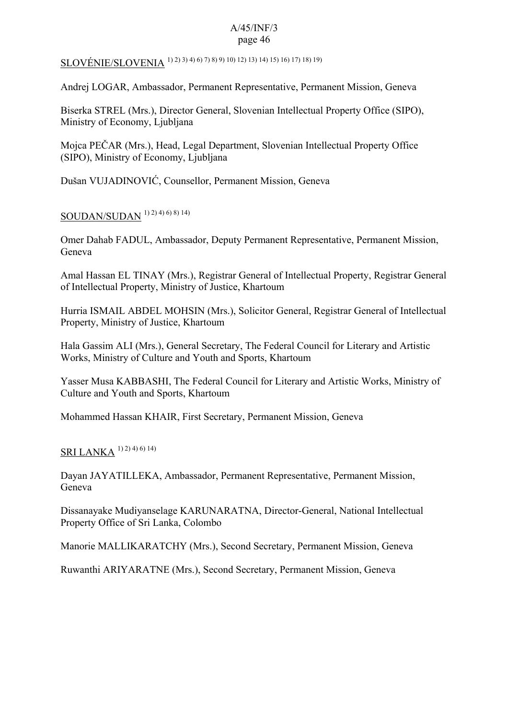SLOVÉNIE/SLOVENIA 1) 2) 3) 4) 6) 7) 8) 9) 10) 12) 13) 14) 15) 16) 17) 18) 19)

Andrej LOGAR, Ambassador, Permanent Representative, Permanent Mission, Geneva

Biserka STREL (Mrs.), Director General, Slovenian Intellectual Property Office (SIPO), Ministry of Economy, Ljubljana

Mojca PEČAR (Mrs.), Head, Legal Department, Slovenian Intellectual Property Office (SIPO), Ministry of Economy, Ljubljana

Dušan VUJADINOVIĆ, Counsellor, Permanent Mission, Geneva

## SOUDAN/SUDAN 1) 2) 4) 6) 8) 14)

Omer Dahab FADUL, Ambassador, Deputy Permanent Representative, Permanent Mission, Geneva

Amal Hassan EL TINAY (Mrs.), Registrar General of Intellectual Property, Registrar General of Intellectual Property, Ministry of Justice, Khartoum

Hurria ISMAIL ABDEL MOHSIN (Mrs.), Solicitor General, Registrar General of Intellectual Property, Ministry of Justice, Khartoum

Hala Gassim ALI (Mrs.), General Secretary, The Federal Council for Literary and Artistic Works, Ministry of Culture and Youth and Sports, Khartoum

Yasser Musa KABBASHI, The Federal Council for Literary and Artistic Works, Ministry of Culture and Youth and Sports, Khartoum

Mohammed Hassan KHAIR, First Secretary, Permanent Mission, Geneva

## SRI LANKA<sup>1) 2) 4) 6) 14)</sup>

Dayan JAYATILLEKA, Ambassador, Permanent Representative, Permanent Mission, Geneva

Dissanayake Mudiyanselage KARUNARATNA, Director-General, National Intellectual Property Office of Sri Lanka, Colombo

Manorie MALLIKARATCHY (Mrs.), Second Secretary, Permanent Mission, Geneva

Ruwanthi ARIYARATNE (Mrs.), Second Secretary, Permanent Mission, Geneva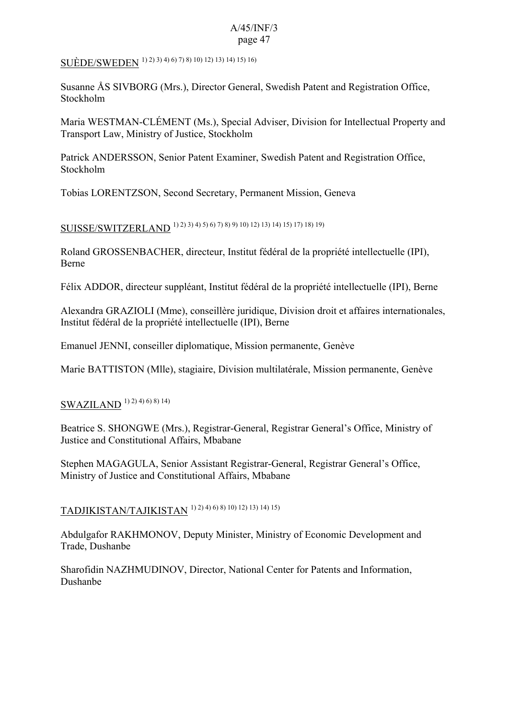SUÈDE/SWEDEN 1) 2) 3) 4) 6) 7) 8) 10) 12) 13) 14) 15) 16)

Susanne ÅS SIVBORG (Mrs.), Director General, Swedish Patent and Registration Office, Stockholm

Maria WESTMAN-CLÉMENT (Ms.), Special Adviser, Division for Intellectual Property and Transport Law, Ministry of Justice, Stockholm

Patrick ANDERSSON, Senior Patent Examiner, Swedish Patent and Registration Office, Stockholm

Tobias LORENTZSON, Second Secretary, Permanent Mission, Geneva

SUISSE/SWITZERLAND 1) 2) 3) 4) 5) 6) 7) 8) 9) 10) 12) 13) 14) 15) 17) 18) 19)

Roland GROSSENBACHER, directeur, Institut fédéral de la propriété intellectuelle (IPI), Berne

Félix ADDOR, directeur suppléant, Institut fédéral de la propriété intellectuelle (IPI), Berne

Alexandra GRAZIOLI (Mme), conseillère juridique, Division droit et affaires internationales, Institut fédéral de la propriété intellectuelle (IPI), Berne

Emanuel JENNI, conseiller diplomatique, Mission permanente, Genève

Marie BATTISTON (Mlle), stagiaire, Division multilatérale, Mission permanente, Genève

# SWAZILAND<sup>1) 2) 4) 6) 8) 14)</sup>

Beatrice S. SHONGWE (Mrs.), Registrar-General, Registrar General's Office, Ministry of Justice and Constitutional Affairs, Mbabane

Stephen MAGAGULA, Senior Assistant Registrar-General, Registrar General's Office, Ministry of Justice and Constitutional Affairs, Mbabane

# TADJIKISTAN/TAJIKISTAN 1) 2) 4) 6) 8) 10) 12) 13) 14) 15)

Abdulgafor RAKHMONOV, Deputy Minister, Ministry of Economic Development and Trade, Dushanbe

Sharofidin NAZHMUDINOV, Director, National Center for Patents and Information, Dushanbe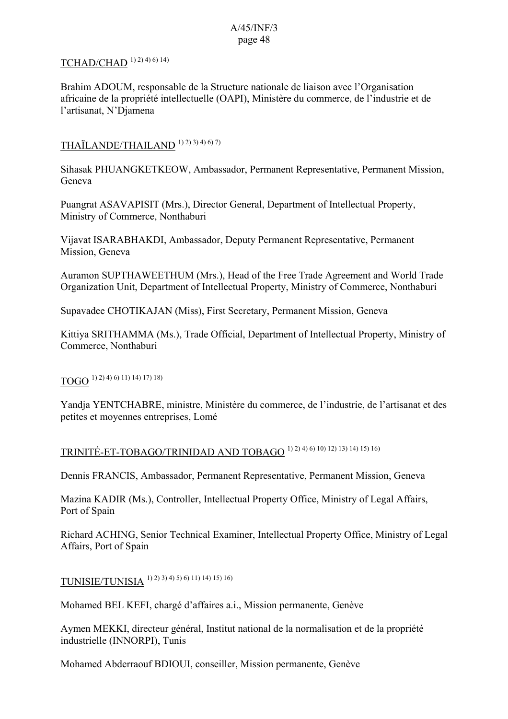## TCHAD/CHAD<sup>1) 2) 4) 6) 14)</sup>

Brahim ADOUM, responsable de la Structure nationale de liaison avec l'Organisation africaine de la propriété intellectuelle (OAPI), Ministère du commerce, de l'industrie et de l'artisanat, N'Djamena

## THAÏLANDE/THAILAND 1) 2) 3) 4) 6) 7)

Sihasak PHUANGKETKEOW, Ambassador, Permanent Representative, Permanent Mission, Geneva

Puangrat ASAVAPISIT (Mrs.), Director General, Department of Intellectual Property, Ministry of Commerce, Nonthaburi

Vijavat ISARABHAKDI, Ambassador, Deputy Permanent Representative, Permanent Mission, Geneva

Auramon SUPTHAWEETHUM (Mrs.), Head of the Free Trade Agreement and World Trade Organization Unit, Department of Intellectual Property, Ministry of Commerce, Nonthaburi

Supavadee CHOTIKAJAN (Miss), First Secretary, Permanent Mission, Geneva

Kittiya SRITHAMMA (Ms.), Trade Official, Department of Intellectual Property, Ministry of Commerce, Nonthaburi

 $TOGO<sup>1) 2) 4) 6) 11) 14) 17) 18)</sup>$ 

Yandja YENTCHABRE, ministre, Ministère du commerce, de l'industrie, de l'artisanat et des petites et moyennes entreprises, Lomé

## TRINITÉ-ET-TOBAGO/TRINIDAD AND TOBAGO 1) 2) 4) 6) 10) 12) 13) 14) 15) 16)

Dennis FRANCIS, Ambassador, Permanent Representative, Permanent Mission, Geneva

Mazina KADIR (Ms.), Controller, Intellectual Property Office, Ministry of Legal Affairs, Port of Spain

Richard ACHING, Senior Technical Examiner, Intellectual Property Office, Ministry of Legal Affairs, Port of Spain

TUNISIE/TUNISIA 1) 2) 3) 4) 5) 6) 11) 14) 15) 16)

Mohamed BEL KEFI, chargé d'affaires a.i., Mission permanente, Genève

Aymen MEKKI, directeur général, Institut national de la normalisation et de la propriété industrielle (INNORPI), Tunis

Mohamed Abderraouf BDIOUI, conseiller, Mission permanente, Genève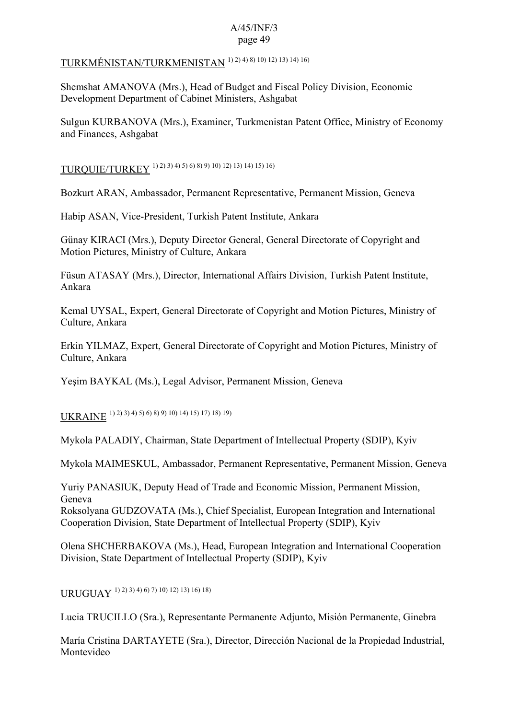## TURKMÉNISTAN/TURKMENISTAN 1) 2) 4) 8) 10) 12) 13) 14) 16)

Shemshat AMANOVA (Mrs.), Head of Budget and Fiscal Policy Division, Economic Development Department of Cabinet Ministers, Ashgabat

Sulgun KURBANOVA (Mrs.), Examiner, Turkmenistan Patent Office, Ministry of Economy and Finances, Ashgabat

# TURQUIE/TURKEY 1) 2) 3) 4) 5) 6) 8) 9) 10) 12) 13) 14) 15) 16)

Bozkurt ARAN, Ambassador, Permanent Representative, Permanent Mission, Geneva

Habip ASAN, Vice-President, Turkish Patent Institute, Ankara

Günay KIRACI (Mrs.), Deputy Director General, General Directorate of Copyright and Motion Pictures, Ministry of Culture, Ankara

Füsun ATASAY (Mrs.), Director, International Affairs Division, Turkish Patent Institute, Ankara

Kemal UYSAL, Expert, General Directorate of Copyright and Motion Pictures, Ministry of Culture, Ankara

Erkin YILMAZ, Expert, General Directorate of Copyright and Motion Pictures, Ministry of Culture, Ankara

Yeşim BAYKAL (Ms.), Legal Advisor, Permanent Mission, Geneva

UKRAINE 1) 2) 3) 4) 5) 6) 8) 9) 10) 14) 15) 17) 18) 19)

Mykola PALADIY, Chairman, State Department of Intellectual Property (SDIP), Kyiv

Mykola MAIMESKUL, Ambassador, Permanent Representative, Permanent Mission, Geneva

Yuriy PANASIUK, Deputy Head of Trade and Economic Mission, Permanent Mission, Geneva Roksolyana GUDZOVATA (Ms.), Chief Specialist, European Integration and International Cooperation Division, State Department of Intellectual Property (SDIP), Kyiv

Olena SHCHERBAKOVA (Ms.), Head, European Integration and International Cooperation Division, State Department of Intellectual Property (SDIP), Kyiv

URUGUAY 1) 2) 3) 4) 6) 7) 10) 12) 13) 16) 18)

Lucia TRUCILLO (Sra.), Representante Permanente Adjunto, Misión Permanente, Ginebra

María Cristina DARTAYETE (Sra.), Director, Dirección Nacional de la Propiedad Industrial, Montevideo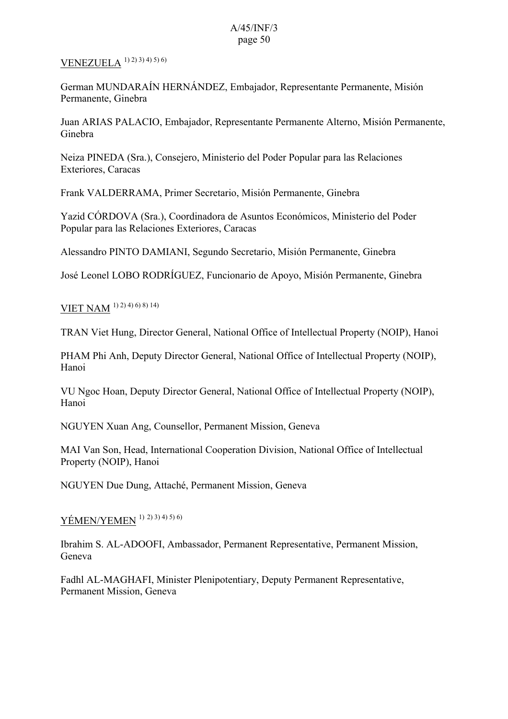## VENEZUELA 1) 2) 3) 4) 5) 6)

German MUNDARAÍN HERNÁNDEZ, Embajador, Representante Permanente, Misión Permanente, Ginebra

Juan ARIAS PALACIO, Embajador, Representante Permanente Alterno, Misión Permanente, Ginebra

Neiza PINEDA (Sra.), Consejero, Ministerio del Poder Popular para las Relaciones Exteriores, Caracas

Frank VALDERRAMA, Primer Secretario, Misión Permanente, Ginebra

Yazid CÓRDOVA (Sra.), Coordinadora de Asuntos Económicos, Ministerio del Poder Popular para las Relaciones Exteriores, Caracas

Alessandro PINTO DAMIANI, Segundo Secretario, Misión Permanente, Ginebra

José Leonel LOBO RODRÍGUEZ, Funcionario de Apoyo, Misión Permanente, Ginebra

## VIET NAM 1) 2) 4) 6) 8) 14)

TRAN Viet Hung, Director General, National Office of Intellectual Property (NOIP), Hanoi

PHAM Phi Anh, Deputy Director General, National Office of Intellectual Property (NOIP), Hanoi

VU Ngoc Hoan, Deputy Director General, National Office of Intellectual Property (NOIP), Hanoi

NGUYEN Xuan Ang, Counsellor, Permanent Mission, Geneva

MAI Van Son, Head, International Cooperation Division, National Office of Intellectual Property (NOIP), Hanoi

NGUYEN Due Dung, Attaché, Permanent Mission, Geneva

## YÉMEN/YEMEN<sup>1)</sup> 2) 3) 4) 5) 6)

Ibrahim S. AL-ADOOFI, Ambassador, Permanent Representative, Permanent Mission, Geneva

Fadhl AL-MAGHAFI, Minister Plenipotentiary, Deputy Permanent Representative, Permanent Mission, Geneva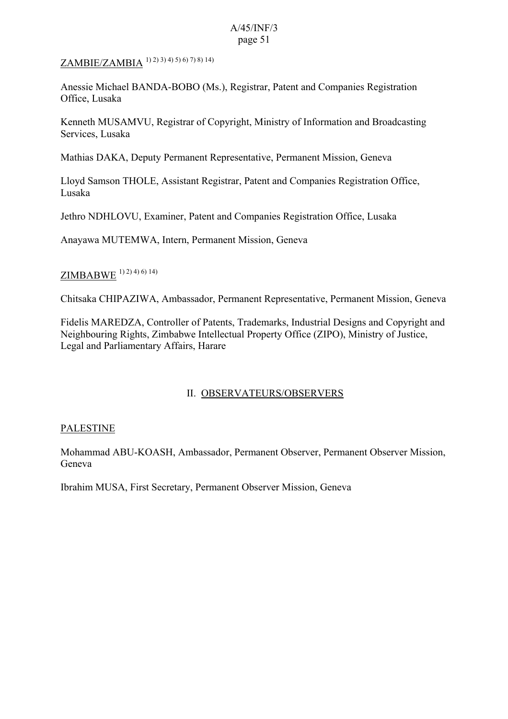## ZAMBIE/ZAMBIA 1) 2) 3) 4) 5) 6) 7) 8) 14)

Anessie Michael BANDA-BOBO (Ms.), Registrar, Patent and Companies Registration Office, Lusaka

Kenneth MUSAMVU, Registrar of Copyright, Ministry of Information and Broadcasting Services, Lusaka

Mathias DAKA, Deputy Permanent Representative, Permanent Mission, Geneva

Lloyd Samson THOLE, Assistant Registrar, Patent and Companies Registration Office, Lusaka

Jethro NDHLOVU, Examiner, Patent and Companies Registration Office, Lusaka

Anayawa MUTEMWA, Intern, Permanent Mission, Geneva

## ZIMBABWE <sup>1) 2) 4) 6) 14)</sup>

Chitsaka CHIPAZIWA, Ambassador, Permanent Representative, Permanent Mission, Geneva

Fidelis MAREDZA, Controller of Patents, Trademarks, Industrial Designs and Copyright and Neighbouring Rights, Zimbabwe Intellectual Property Office (ZIPO), Ministry of Justice, Legal and Parliamentary Affairs, Harare

## II. OBSERVATEURS/OBSERVERS

### PALESTINE

Mohammad ABU-KOASH, Ambassador, Permanent Observer, Permanent Observer Mission, Geneva

Ibrahim MUSA, First Secretary, Permanent Observer Mission, Geneva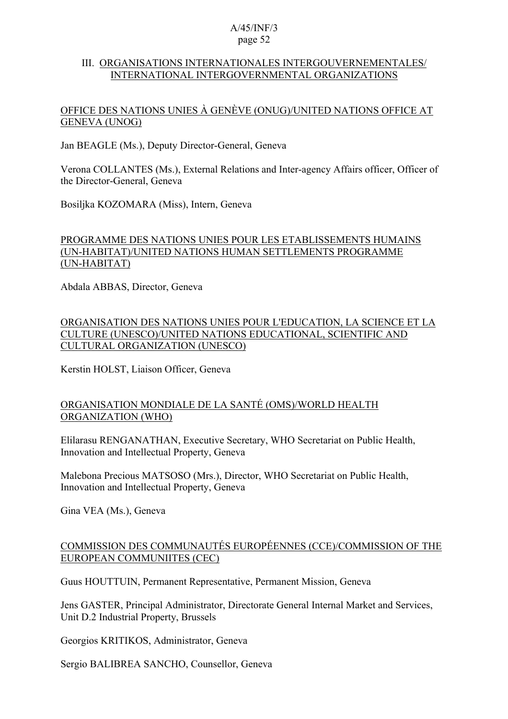### III. ORGANISATIONS INTERNATIONALES INTERGOUVERNEMENTALES/ INTERNATIONAL INTERGOVERNMENTAL ORGANIZATIONS

### OFFICE DES NATIONS UNIES À GENÈVE (ONUG)/UNITED NATIONS OFFICE AT GENEVA (UNOG)

Jan BEAGLE (Ms.), Deputy Director-General, Geneva

Verona COLLANTES (Ms.), External Relations and Inter-agency Affairs officer, Officer of the Director-General, Geneva

Bosiljka KOZOMARA (Miss), Intern, Geneva

## PROGRAMME DES NATIONS UNIES POUR LES ETABLISSEMENTS HUMAINS (UN-HABITAT)/UNITED NATIONS HUMAN SETTLEMENTS PROGRAMME (UN-HABITAT)

Abdala ABBAS, Director, Geneva

ORGANISATION DES NATIONS UNIES POUR L'EDUCATION, LA SCIENCE ET LA CULTURE (UNESCO)/UNITED NATIONS EDUCATIONAL, SCIENTIFIC AND CULTURAL ORGANIZATION (UNESCO)

Kerstin HOLST, Liaison Officer, Geneva

## ORGANISATION MONDIALE DE LA SANTÉ (OMS)/WORLD HEALTH ORGANIZATION (WHO)

Elilarasu RENGANATHAN, Executive Secretary, WHO Secretariat on Public Health, Innovation and Intellectual Property, Geneva

Malebona Precious MATSOSO (Mrs.), Director, WHO Secretariat on Public Health, Innovation and Intellectual Property, Geneva

Gina VEA (Ms.), Geneva

## COMMISSION DES COMMUNAUTÉS EUROPÉENNES (CCE)/COMMISSION OF THE EUROPEAN COMMUNIITES (CEC)

Guus HOUTTUIN, Permanent Representative, Permanent Mission, Geneva

Jens GASTER, Principal Administrator, Directorate General Internal Market and Services, Unit D.2 Industrial Property, Brussels

Georgios KRITIKOS, Administrator, Geneva

Sergio BALIBREA SANCHO, Counsellor, Geneva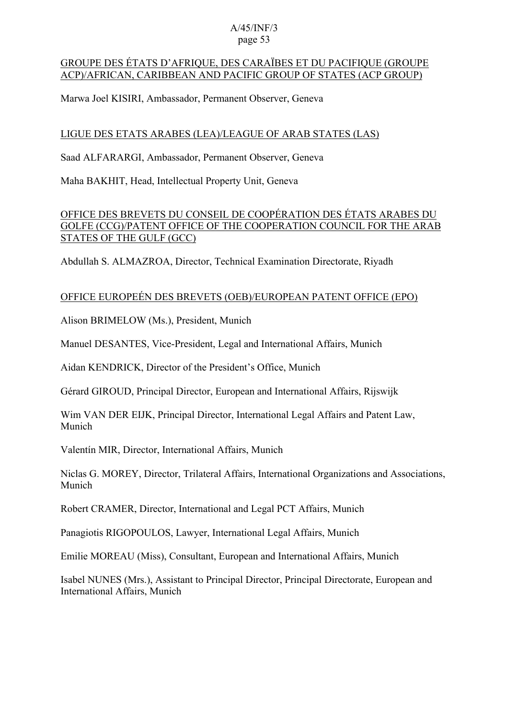### GROUPE DES ÉTATS D'AFRIQUE, DES CARAÏBES ET DU PACIFIQUE (GROUPE ACP)/AFRICAN, CARIBBEAN AND PACIFIC GROUP OF STATES (ACP GROUP)

Marwa Joel KISIRI, Ambassador, Permanent Observer, Geneva

## LIGUE DES ETATS ARABES (LEA)/LEAGUE OF ARAB STATES (LAS)

Saad ALFARARGI, Ambassador, Permanent Observer, Geneva

Maha BAKHIT, Head, Intellectual Property Unit, Geneva

## OFFICE DES BREVETS DU CONSEIL DE COOPÉRATION DES ÉTATS ARABES DU GOLFE (CCG)/PATENT OFFICE OF THE COOPERATION COUNCIL FOR THE ARAB STATES OF THE GULF (GCC)

Abdullah S. ALMAZROA, Director, Technical Examination Directorate, Riyadh

## OFFICE EUROPEÉN DES BREVETS (OEB)/EUROPEAN PATENT OFFICE (EPO)

Alison BRIMELOW (Ms.), President, Munich

Manuel DESANTES, Vice-President, Legal and International Affairs, Munich

Aidan KENDRICK, Director of the President's Office, Munich

Gérard GIROUD, Principal Director, European and International Affairs, Rijswijk

Wim VAN DER EIJK, Principal Director, International Legal Affairs and Patent Law, Munich

Valentín MIR, Director, International Affairs, Munich

Niclas G. MOREY, Director, Trilateral Affairs, International Organizations and Associations, Munich

Robert CRAMER, Director, International and Legal PCT Affairs, Munich

Panagiotis RIGOPOULOS, Lawyer, International Legal Affairs, Munich

Emilie MOREAU (Miss), Consultant, European and International Affairs, Munich

Isabel NUNES (Mrs.), Assistant to Principal Director, Principal Directorate, European and International Affairs, Munich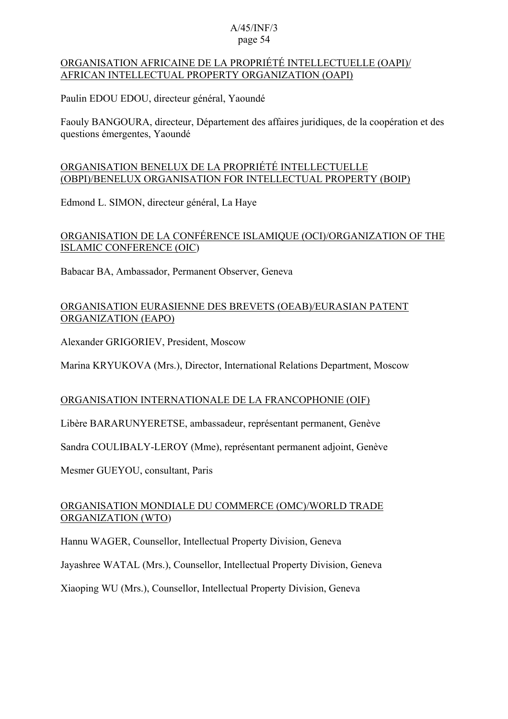### ORGANISATION AFRICAINE DE LA PROPRIÉTÉ INTELLECTUELLE (OAPI)/ AFRICAN INTELLECTUAL PROPERTY ORGANIZATION (OAPI)

Paulin EDOU EDOU, directeur général, Yaoundé

Faouly BANGOURA, directeur, Département des affaires juridiques, de la coopération et des questions émergentes, Yaoundé

## ORGANISATION BENELUX DE LA PROPRIÉTÉ INTELLECTUELLE (OBPI)/BENELUX ORGANISATION FOR INTELLECTUAL PROPERTY (BOIP)

Edmond L. SIMON, directeur général, La Haye

## ORGANISATION DE LA CONFÉRENCE ISLAMIQUE (OCI)/ORGANIZATION OF THE ISLAMIC CONFERENCE (OIC)

Babacar BA, Ambassador, Permanent Observer, Geneva

## ORGANISATION EURASIENNE DES BREVETS (OEAB)/EURASIAN PATENT ORGANIZATION (EAPO)

Alexander GRIGORIEV, President, Moscow

Marina KRYUKOVA (Mrs.), Director, International Relations Department, Moscow

## ORGANISATION INTERNATIONALE DE LA FRANCOPHONIE (OIF)

Libère BARARUNYERETSE, ambassadeur, représentant permanent, Genève

Sandra COULIBALY-LEROY (Mme), représentant permanent adjoint, Genève

Mesmer GUEYOU, consultant, Paris

## ORGANISATION MONDIALE DU COMMERCE (OMC)/WORLD TRADE ORGANIZATION (WTO)

Hannu WAGER, Counsellor, Intellectual Property Division, Geneva

Jayashree WATAL (Mrs.), Counsellor, Intellectual Property Division, Geneva

Xiaoping WU (Mrs.), Counsellor, Intellectual Property Division, Geneva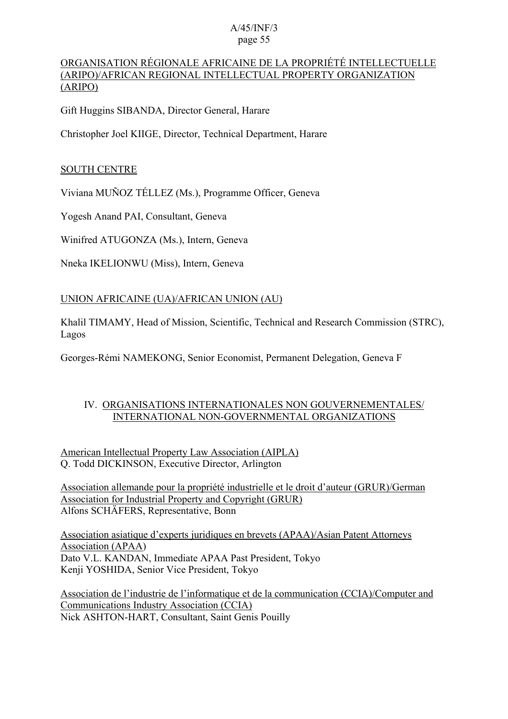## ORGANISATION RÉGIONALE AFRICAINE DE LA PROPRIÉTÉ INTELLECTUELLE (ARIPO)/AFRICAN REGIONAL INTELLECTUAL PROPERTY ORGANIZATION (ARIPO)

Gift Huggins SIBANDA, Director General, Harare

Christopher Joel KIIGE, Director, Technical Department, Harare

### SOUTH CENTRE

Viviana MUÑOZ TÉLLEZ (Ms.), Programme Officer, Geneva

Yogesh Anand PAI, Consultant, Geneva

Winifred ATUGONZA (Ms.), Intern, Geneva

Nneka IKELIONWU (Miss), Intern, Geneva

## UNION AFRICAINE (UA)/AFRICAN UNION (AU)

Khalil TIMAMY, Head of Mission, Scientific, Technical and Research Commission (STRC), Lagos

Georges-Rémi NAMEKONG, Senior Economist, Permanent Delegation, Geneva F

### IV. ORGANISATIONS INTERNATIONALES NON GOUVERNEMENTALES/ INTERNATIONAL NON-GOVERNMENTAL ORGANIZATIONS

American Intellectual Property Law Association (AIPLA) Q. Todd DICKINSON, Executive Director, Arlington

Association allemande pour la propriété industrielle et le droit d'auteur (GRUR)/German Association for Industrial Property and Copyright (GRUR) Alfons SCHÄFERS, Representative, Bonn

Association asiatique d'experts juridiques en brevets (APAA)/Asian Patent Attorneys Association (APAA) Dato V.L. KANDAN, Immediate APAA Past President, Tokyo Kenji YOSHIDA, Senior Vice President, Tokyo

Association de l'industrie de l'informatique et de la communication (CCIA)/Computer and Communications Industry Association (CCIA) Nick ASHTON-HART, Consultant, Saint Genis Pouilly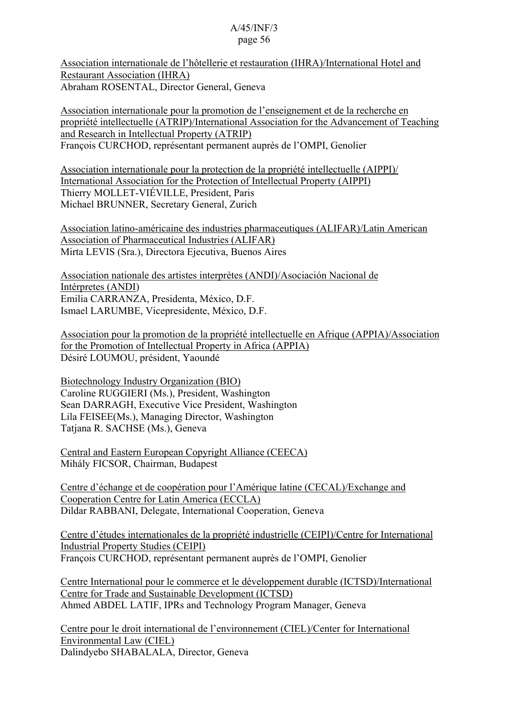Association internationale de l'hôtellerie et restauration (IHRA)/International Hotel and Restaurant Association (IHRA) Abraham ROSENTAL, Director General, Geneva

Association internationale pour la promotion de l'enseignement et de la recherche en propriété intellectuelle (ATRIP)/International Association for the Advancement of Teaching and Research in Intellectual Property (ATRIP) François CURCHOD, représentant permanent auprès de l'OMPI, Genolier

Association internationale pour la protection de la propriété intellectuelle (AIPPI)/ International Association for the Protection of Intellectual Property (AIPPI) Thierry MOLLET-VIÉVILLE, President, Paris Michael BRUNNER, Secretary General, Zurich

Association latino-américaine des industries pharmaceutiques (ALIFAR)/Latin American Association of Pharmaceutical Industries (ALIFAR) Mirta LEVIS (Sra.), Directora Ejecutiva, Buenos Aires

Association nationale des artistes interprètes (ANDI)/Asociación Nacional de Intérpretes (ANDI) Emilia CARRANZA, Presidenta, México, D.F. Ismael LARUMBE, Vicepresidente, México, D.F.

Association pour la promotion de la propriété intellectuelle en Afrique (APPIA)/Association for the Promotion of Intellectual Property in Africa (APPIA) Désiré LOUMOU, président, Yaoundé

Biotechnology Industry Organization (BIO) Caroline RUGGIERI (Ms.), President, Washington Sean DARRAGH, Executive Vice President, Washington Lila FEISEE(Ms.), Managing Director, Washington Tatjana R. SACHSE (Ms.), Geneva

Central and Eastern European Copyright Alliance (CEECA) Mihály FICSOR, Chairman, Budapest

Centre d'échange et de coopération pour l'Amérique latine (CECAL)/Exchange and Cooperation Centre for Latin America (ECCLA) Dildar RABBANI, Delegate, International Cooperation, Geneva

Centre d'études internationales de la propriété industrielle (CEIPI)/Centre for International Industrial Property Studies (CEIPI) François CURCHOD, représentant permanent auprès de l'OMPI, Genolier

Centre International pour le commerce et le développement durable (ICTSD)/International Centre for Trade and Sustainable Development (ICTSD) Ahmed ABDEL LATIF, IPRs and Technology Program Manager, Geneva

Centre pour le droit international de l'environnement (CIEL)/Center for International Environmental Law (CIEL) Dalindyebo SHABALALA, Director, Geneva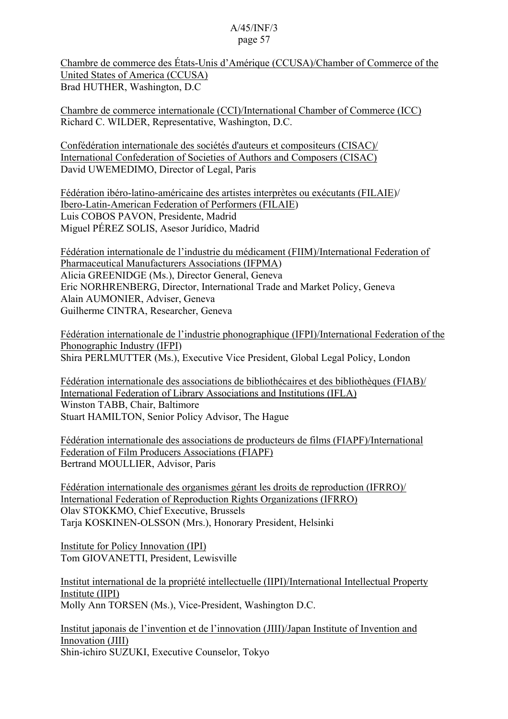Chambre de commerce des États-Unis d'Amérique (CCUSA)/Chamber of Commerce of the United States of America (CCUSA) Brad HUTHER, Washington, D.C

Chambre de commerce internationale (CCI)/International Chamber of Commerce (ICC) Richard C. WILDER, Representative, Washington, D.C.

Confédération internationale des sociétés d'auteurs et compositeurs (CISAC)/ International Confederation of Societies of Authors and Composers (CISAC) David UWEMEDIMO, Director of Legal, Paris

Fédération ibéro-latino-américaine des artistes interprètes ou exécutants (FILAIE)/ Ibero-Latin-American Federation of Performers (FILAIE) Luis COBOS PAVON, Presidente, Madrid Miguel PÉREZ SOLIS, Asesor Jurídico, Madrid

Fédération internationale de l'industrie du médicament (FIIM)/International Federation of Pharmaceutical Manufacturers Associations (IFPMA) Alicia GREENIDGE (Ms.), Director General, Geneva Eric NORHRENBERG, Director, International Trade and Market Policy, Geneva Alain AUMONIER, Adviser, Geneva Guilherme CINTRA, Researcher, Geneva

Fédération internationale de l'industrie phonographique (IFPI)/International Federation of the Phonographic Industry (IFPI) Shira PERLMUTTER (Ms.), Executive Vice President, Global Legal Policy, London

Fédération internationale des associations de bibliothécaires et des bibliothèques (FIAB)/ International Federation of Library Associations and Institutions (IFLA) Winston TABB, Chair, Baltimore Stuart HAMILTON, Senior Policy Advisor, The Hague

Fédération internationale des associations de producteurs de films (FIAPF)/International Federation of Film Producers Associations (FIAPF) Bertrand MOULLIER, Advisor, Paris

Fédération internationale des organismes gérant les droits de reproduction (IFRRO)/ International Federation of Reproduction Rights Organizations (IFRRO) Olav STOKKMO, Chief Executive, Brussels Tarja KOSKINEN-OLSSON (Mrs.), Honorary President, Helsinki

Institute for Policy Innovation (IPI) Tom GIOVANETTI, President, Lewisville

Institut international de la propriété intellectuelle (IIPI)/International Intellectual Property Institute (IIPI) Molly Ann TORSEN (Ms.), Vice-President, Washington D.C.

Institut japonais de l'invention et de l'innovation (JIII)/Japan Institute of Invention and Innovation (JIII) Shin-ichiro SUZUKI, Executive Counselor, Tokyo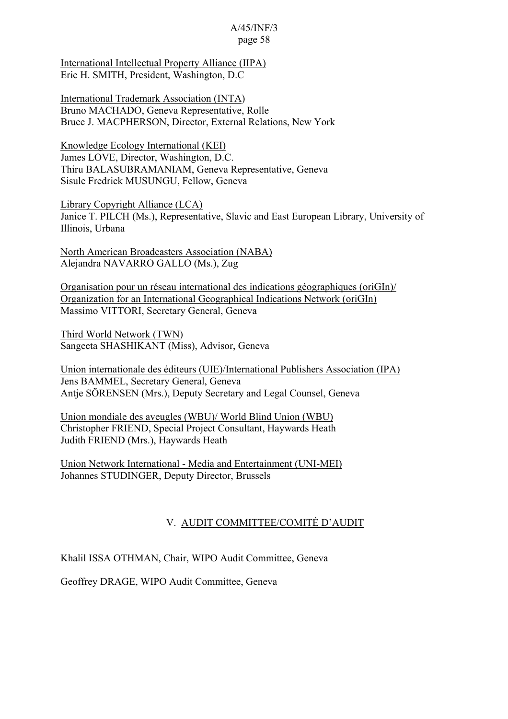International Intellectual Property Alliance (IIPA) Eric H. SMITH, President, Washington, D.C

International Trademark Association (INTA) Bruno MACHADO, Geneva Representative, Rolle Bruce J. MACPHERSON, Director, External Relations, New York

Knowledge Ecology International (KEI) James LOVE, Director, Washington, D.C. Thiru BALASUBRAMANIAM, Geneva Representative, Geneva Sisule Fredrick MUSUNGU, Fellow, Geneva

Library Copyright Alliance (LCA) Janice T. PILCH (Ms.), Representative, Slavic and East European Library, University of Illinois, Urbana

North American Broadcasters Association (NABA) Alejandra NAVARRO GALLO (Ms.), Zug

Organisation pour un réseau international des indications géographiques (oriGIn)/ Organization for an International Geographical Indications Network (oriGIn) Massimo VITTORI, Secretary General, Geneva

Third World Network (TWN) Sangeeta SHASHIKANT (Miss), Advisor, Geneva

Union internationale des éditeurs (UIE)/International Publishers Association (IPA) Jens BAMMEL, Secretary General, Geneva Antje SÖRENSEN (Mrs.), Deputy Secretary and Legal Counsel, Geneva

Union mondiale des aveugles (WBU)/ World Blind Union (WBU) Christopher FRIEND, Special Project Consultant, Haywards Heath Judith FRIEND (Mrs.), Haywards Heath

Union Network International - Media and Entertainment (UNI-MEI) Johannes STUDINGER, Deputy Director, Brussels

## V. AUDIT COMMITTEE/COMITÉ D'AUDIT

Khalil ISSA OTHMAN, Chair, WIPO Audit Committee, Geneva

Geoffrey DRAGE, WIPO Audit Committee, Geneva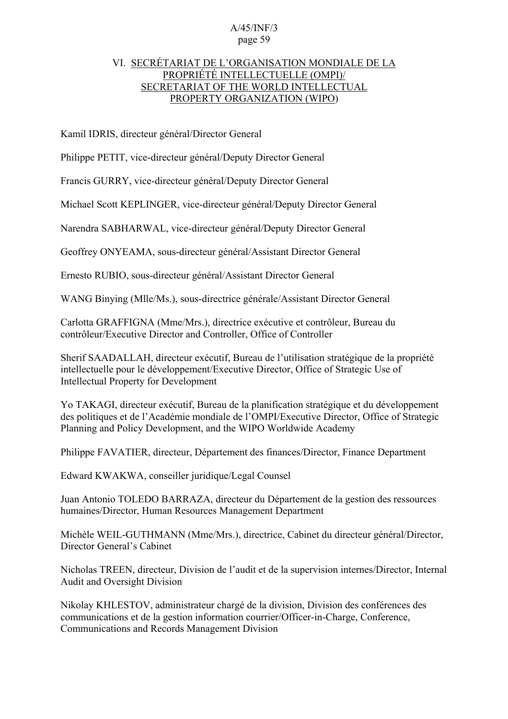### VI. SECRÉTARIAT DE L'ORGANISATION MONDIALE DE LA PROPRIÉTÉ INTELLECTUELLE (OMPI)/ SECRETARIAT OF THE WORLD INTELLECTUAL PROPERTY ORGANIZATION (WIPO)

Kamil IDRIS, directeur général/Director General

Philippe PETIT, vice-directeur général/Deputy Director General

Francis GURRY, vice-directeur général/Deputy Director General

Michael Scott KEPLINGER, vice-directeur général/Deputy Director General

Narendra SABHARWAL, vice-directeur général/Deputy Director General

Geoffrey ONYEAMA, sous-directeur général/Assistant Director General

Ernesto RUBIO, sous-directeur général/Assistant Director General

WANG Binying (Mlle/Ms.), sous-directrice générale/Assistant Director General

Carlotta GRAFFIGNA (Mme/Mrs.), directrice exécutive et contrôleur, Bureau du contrôleur/Executive Director and Controller, Office of Controller

Sherif SAADALLAH, directeur exécutif, Bureau de l'utilisation stratégique de la propriété intellectuelle pour le développement/Executive Director, Office of Strategic Use of Intellectual Property for Development

Yo TAKAGI, directeur exécutif, Bureau de la planification stratégique et du développement des politiques et de l'Académie mondiale de l'OMPI/Executive Director, Office of Strategic Planning and Policy Development, and the WIPO Worldwide Academy

Philippe FAVATIER, directeur, Département des finances/Director, Finance Department

Edward KWAKWA, conseiller juridique/Legal Counsel

Juan Antonio TOLEDO BARRAZA, directeur du Département de la gestion des ressources humaines/Director, Human Resources Management Department

Michèle WEIL-GUTHMANN (Mme/Mrs.), directrice, Cabinet du directeur général/Director, Director General's Cabinet

Nicholas TREEN, directeur, Division de l'audit et de la supervision internes/Director, Internal Audit and Oversight Division

Nikolay KHLESTOV, administrateur chargé de la division, Division des conférences des communications et de la gestion information courrier/Officer-in-Charge, Conference, Communications and Records Management Division